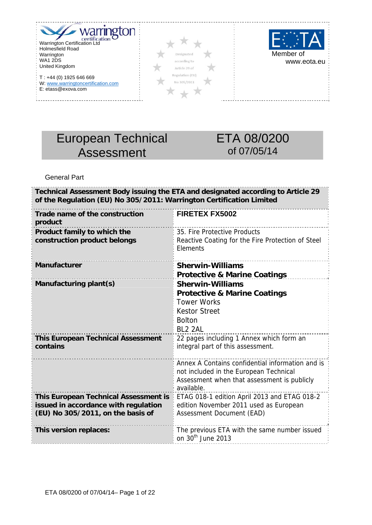



-----------------





# European Technical Assessment

# ETA 08/0200 of 07/05/14

General Part

. . . . . . . . . . .

 $- - -$ 

| of the Regulation (EU) No 305/2011: Warrington Certification Limited                                                      | Technical Assessment Body issuing the ETA and designated according to Article 29                                                                         |
|---------------------------------------------------------------------------------------------------------------------------|----------------------------------------------------------------------------------------------------------------------------------------------------------|
| Trade name of the construction<br>product                                                                                 | <b>FIRETEX FX5002</b>                                                                                                                                    |
| Product family to which the<br>construction product belongs                                                               | 35. Fire Protective Products<br>Reactive Coating for the Fire Protection of Steel<br>Elements                                                            |
| <b>Manufacturer</b>                                                                                                       | <b>Sherwin-Williams</b><br><b>Protective &amp; Marine Coatings</b>                                                                                       |
| Manufacturing plant(s)                                                                                                    | <b>Sherwin-Williams</b><br><b>Protective &amp; Marine Coatings</b><br><b>Tower Works</b><br><b>Kestor Street</b><br><b>Bolton</b><br>BL <sub>2</sub> 2AL |
| <b>This European Technical Assessment</b><br>contains                                                                     | 22 pages including 1 Annex which form an<br>integral part of this assessment.                                                                            |
|                                                                                                                           | Annex A Contains confidential information and is<br>not included in the European Technical<br>Assessment when that assessment is publicly<br>available.  |
| <b>This European Technical Assessment is</b><br>issued in accordance with regulation<br>(EU) No 305/2011, on the basis of | ETAG 018-1 edition April 2013 and ETAG 018-2<br>edition November 2011 used as European<br>Assessment Document (EAD)                                      |
| This version replaces:                                                                                                    | The previous ETA with the same number issued<br>on 30 <sup>th</sup> June 2013                                                                            |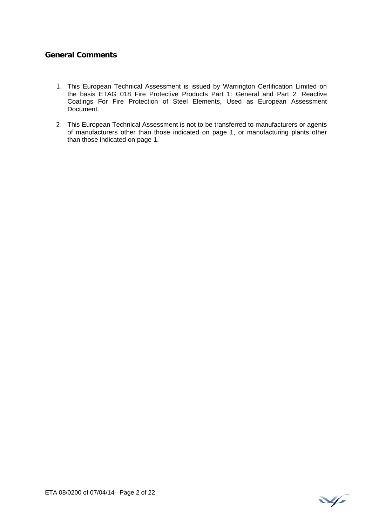# **General Comments**

- 1. This European Technical Assessment is issued by Warrington Certification Limited on the basis ETAG 018 Fire Protective Products Part 1: General and Part 2: Reactive Coatings For Fire Protection of Steel Elements, Used as European Assessment Document.
- 2. This European Technical Assessment is not to be transferred to manufacturers or agents of manufacturers other than those indicated on page 1, or manufacturing plants other than those indicated on page 1.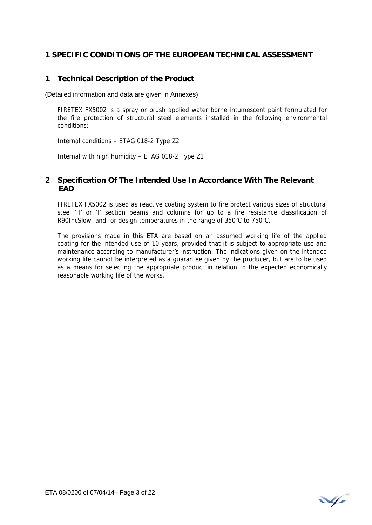## **1 SPECIFIC CONDITIONS OF THE EUROPEAN TECHNICAL ASSESSMENT**

# **1 Technical Description of the Product**

(Detailed information and data are given in Annexes)

FIRETEX FX5002 is a spray or brush applied water borne intumescent paint formulated for the fire protection of structural steel elements installed in the following environmental conditions:

Internal conditions – ETAG 018-2 Type Z2

Internal with high humidity – ETAG 018-2 Type Z1

## **2 Specification Of The Intended Use In Accordance With The Relevant EAD**

FIRETEX FX5002 is used as reactive coating system to fire protect various sizes of structural steel 'H' or 'I' section beams and columns for up to a fire resistance classification of R90IncSlow and for design temperatures in the range of  $350^{\circ}$ C to  $750^{\circ}$ C.

The provisions made in this ETA are based on an assumed working life of the applied coating for the intended use of 10 years, provided that it is subject to appropriate use and maintenance according to manufacturer's instruction. The indications given on the intended working life cannot be interpreted as a guarantee given by the producer, but are to be used as a means for selecting the appropriate product in relation to the expected economically reasonable working life of the works.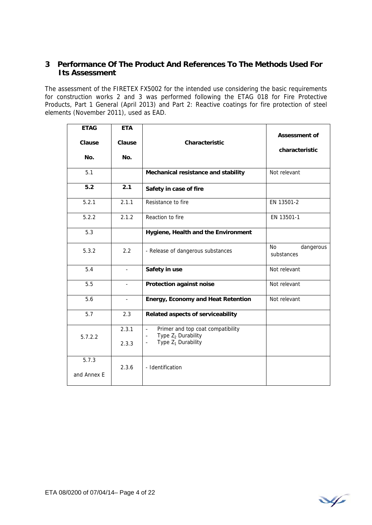# **3 Performance Of The Product And References To The Methods Used For Its Assessment**

The assessment of the FIRETEX FX5002 for the intended use considering the basic requirements for construction works 2 and 3 was performed following the ETAG 018 for Fire Protective Products, Part 1 General (April 2013) and Part 2: Reactive coatings for fire protection of steel elements (November 2011), used as EAD.

| <b>ETAG</b><br>Clause<br>No. | <b>ETA</b><br>Clause<br>No. | Characteristic                                                                                                                           | <b>Assessment of</b><br>characteristic |  |  |
|------------------------------|-----------------------------|------------------------------------------------------------------------------------------------------------------------------------------|----------------------------------------|--|--|
| 5.1                          |                             | Mechanical resistance and stability                                                                                                      | Not relevant                           |  |  |
| 5.2                          | 2.1                         | Safety in case of fire                                                                                                                   |                                        |  |  |
| 5.2.1                        | 2.1.1                       | Resistance to fire                                                                                                                       | EN 13501-2                             |  |  |
| 5.2.2                        | 2.1.2                       | Reaction to fire                                                                                                                         | EN 13501-1                             |  |  |
| 5.3                          |                             | Hygiene, Health and the Environment                                                                                                      |                                        |  |  |
| 5.3.2                        | 2.2                         | - Release of dangerous substances                                                                                                        | No.<br>dangerous<br>substances         |  |  |
| 5.4                          | $\mathbf{r}$                | Safety in use                                                                                                                            | Not relevant                           |  |  |
| 5.5                          | $\overline{a}$              | Protection against noise                                                                                                                 | Not relevant                           |  |  |
| 5.6                          | $\blacksquare$              | <b>Energy, Economy and Heat Retention</b>                                                                                                | Not relevant                           |  |  |
| 5.7                          | 2.3                         | Related aspects of serviceability                                                                                                        |                                        |  |  |
| 5.7.2.2                      | 2.3.1<br>2.3.3              | Primer and top coat compatibility<br>$\mathcal{L}$<br>Type $Z_2$ Durability<br>$\blacksquare$<br>Type $Z_1$ Durability<br>$\blacksquare$ |                                        |  |  |
| 5.7.3<br>and Annex E         | 2.3.6                       | - Identification                                                                                                                         |                                        |  |  |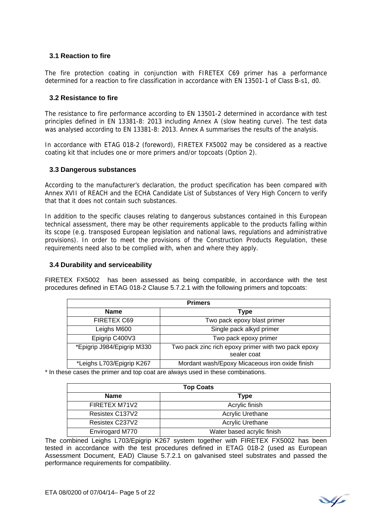#### **3.1 Reaction to fire**

The fire protection coating in conjunction with FIRETEX C69 primer has a performance determined for a reaction to fire classification in accordance with EN 13501-1 of Class B-s1, d0.

#### **3.2 Resistance to fire**

The resistance to fire performance according to EN 13501-2 determined in accordance with test principles defined in EN 13381-8: 2013 including Annex A (slow heating curve). The test data was analysed according to EN 13381-8: 2013. Annex A summarises the results of the analysis.

In accordance with ETAG 018-2 (foreword), FIRETEX FX5002 may be considered as a reactive coating kit that includes one or more primers and/or topcoats (Option 2).

#### **3.3 Dangerous substances**

According to the manufacturer's declaration, the product specification has been compared with Annex XVII of REACH and the ECHA Candidate List of Substances of Very High Concern to verify that that it does not contain such substances.

In addition to the specific clauses relating to dangerous substances contained in this European technical assessment, there may be other requirements applicable to the products falling within its scope (e.g. transposed European legislation and national laws, regulations and administrative provisions). In order to meet the provisions of the Construction Products Regulation, these requirements need also to be complied with, when and where they apply.

#### **3.4 Durability and serviceability**

FIRETEX FX5002 has been assessed as being compatible, in accordance with the test procedures defined in ETAG 018-2 Clause 5.7.2.1 with the following primers and topcoats:

| <b>Primers</b>             |                                                                    |  |  |  |  |  |  |
|----------------------------|--------------------------------------------------------------------|--|--|--|--|--|--|
| <b>Name</b>                | <b>Type</b>                                                        |  |  |  |  |  |  |
| FIRETEX C69                | Two pack epoxy blast primer                                        |  |  |  |  |  |  |
| Leighs M600                | Single pack alkyd primer                                           |  |  |  |  |  |  |
| Epigrip C400V3             | Two pack epoxy primer                                              |  |  |  |  |  |  |
| *Epigrip J984/Epigrip M330 | Two pack zinc rich epoxy primer with two pack epoxy<br>sealer coat |  |  |  |  |  |  |
| *Leighs L703/Epigrip K267  | Mordant wash/Epoxy Micaceous iron oxide finish                     |  |  |  |  |  |  |

\* In these cases the primer and top coat are always used in these combinations.

| <b>Top Coats</b> |                            |  |  |  |  |  |  |
|------------------|----------------------------|--|--|--|--|--|--|
| <b>Name</b>      | Type                       |  |  |  |  |  |  |
| FIRETEX M71V2    | Acrylic finish             |  |  |  |  |  |  |
| Resistex C137V2  | Acrylic Urethane           |  |  |  |  |  |  |
| Resistex C237V2  | Acrylic Urethane           |  |  |  |  |  |  |
| Envirogard M770  | Water based acrylic finish |  |  |  |  |  |  |

The combined Leighs L703/Epigrip K267 system together with FIRETEX FX5002 has been tested in accordance with the test procedures defined in ETAG 018-2 (used as European Assessment Document, EAD) Clause 5.7.2.1 on galvanised steel substrates and passed the performance requirements for compatibility.

V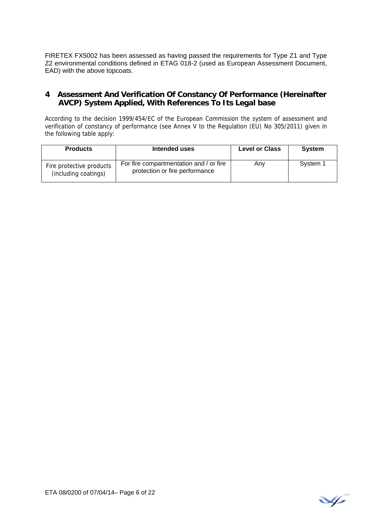FIRETEX FX5002 has been assessed as having passed the requirements for Type Z1 and Type Z2 environmental conditions defined in ETAG 018-2 (used as European Assessment Document, EAD) with the above topcoats.

## **4 Assessment And Verification Of Constancy Of Performance (Hereinafter AVCP) System Applied, With References To Its Legal base**

According to the decision 1999/454/EC of the European Commission the system of assessment and verification of constancy of performance (see Annex V to the Regulation (EU) No 305/2011) given in the following table apply:

| <b>Products</b>                                  | Intended uses                                                             | <b>Level or Class</b> | <b>System</b> |
|--------------------------------------------------|---------------------------------------------------------------------------|-----------------------|---------------|
| Fire protective products<br>(including coatings) | For fire compartmentation and / or fire<br>protection or fire performance | Any                   | System 1      |

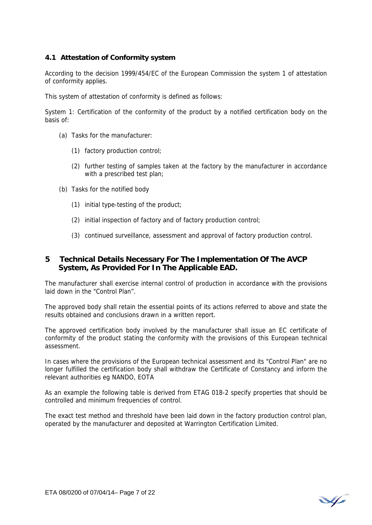#### **4.1 Attestation of Conformity system**

According to the decision 1999/454/EC of the European Commission the system 1 of attestation of conformity applies.

This system of attestation of conformity is defined as follows:

System 1: Certification of the conformity of the product by a notified certification body on the basis of:

- (a) Tasks for the manufacturer:
	- (1) factory production control;
	- (2) further testing of samples taken at the factory by the manufacturer in accordance with a prescribed test plan;
- (b) Tasks for the notified body
	- (1) initial type-testing of the product;
	- (2) initial inspection of factory and of factory production control;
	- (3) continued surveillance, assessment and approval of factory production control.

## **5 Technical Details Necessary For The Implementation Of The AVCP System, As Provided For In The Applicable EAD.**

The manufacturer shall exercise internal control of production in accordance with the provisions laid down in the "Control Plan".

The approved body shall retain the essential points of its actions referred to above and state the results obtained and conclusions drawn in a written report.

The approved certification body involved by the manufacturer shall issue an EC certificate of conformity of the product stating the conformity with the provisions of this European technical assessment.

In cases where the provisions of the European technical assessment and its "Control Plan" are no longer fulfilled the certification body shall withdraw the Certificate of Constancy and inform the relevant authorities eg NANDO, EOTA

As an example the following table is derived from ETAG 018-2 specify properties that should be controlled and minimum frequencies of control.

The exact test method and threshold have been laid down in the factory production control plan, operated by the manufacturer and deposited at Warrington Certification Limited.

V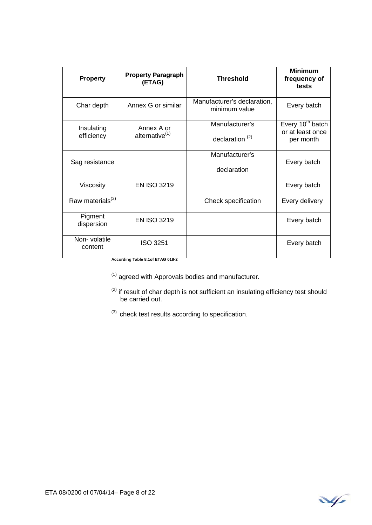| <b>Property</b>              | <b>Property Paragraph</b><br>(ETAG)                 | <b>Threshold</b>                             | <b>Minimum</b><br>frequency of<br>tests                       |
|------------------------------|-----------------------------------------------------|----------------------------------------------|---------------------------------------------------------------|
| Char depth                   | Annex G or similar                                  | Manufacturer's declaration,<br>minimum value | Every batch                                                   |
| Insulating<br>efficiency     | Annex A or<br>alternative <sup>(1)</sup>            | Manufacturer's<br>declaration $(2)$          | Every 10 <sup>th</sup> batch<br>or at least once<br>per month |
| Sag resistance               |                                                     | Manufacturer's<br>declaration                | Every batch                                                   |
| Viscosity                    | <b>EN ISO 3219</b>                                  |                                              | Every batch                                                   |
| Raw materials <sup>(3)</sup> |                                                     | Check specification                          | Every delivery                                                |
| Pigment<br>dispersion        | <b>EN ISO 3219</b>                                  |                                              | Every batch                                                   |
| Non-volatile<br>content      | <b>ISO 3251</b><br>According Table 8.1of ETAG 018-2 |                                              | Every batch                                                   |

 $(1)$  agreed with Approvals bodies and manufacturer.

- $<sup>(2)</sup>$  if result of char depth is not sufficient an insulating efficiency test should</sup> be carried out.
- $(3)$  check test results according to specification.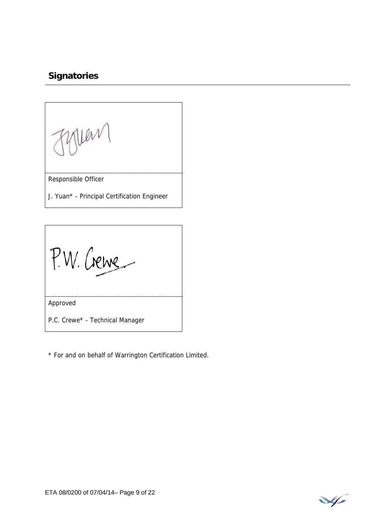# **Signatories**

Fyllen

Responsible Officer

J. Yuan\* - Principal Certification Engineer

P.W. Crewe

Approved

P.C. Crewe\* - Technical Manager

\* For and on behalf of Warrington Certification Limited.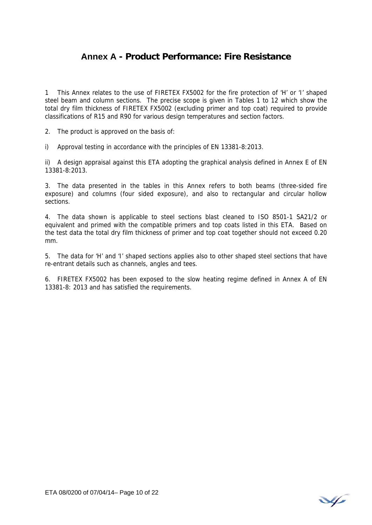# **Annex A - Product Performance: Fire Resistance**

1 This Annex relates to the use of FIRETEX FX5002 for the fire protection of 'H' or 'I' shaped steel beam and column sections. The precise scope is given in Tables 1 to 12 which show the total dry film thickness of FIRETEX FX5002 (excluding primer and top coat) required to provide classifications of R15 and R90 for various design temperatures and section factors.

2. The product is approved on the basis of:

i) Approval testing in accordance with the principles of EN 13381-8:2013.

ii) A design appraisal against this ETA adopting the graphical analysis defined in Annex E of EN 13381-8:2013.

3. The data presented in the tables in this Annex refers to both beams (three-sided fire exposure) and columns (four sided exposure), and also to rectangular and circular hollow sections.

4. The data shown is applicable to steel sections blast cleaned to ISO 8501-1 SA21/2 or equivalent and primed with the compatible primers and top coats listed in this ETA. Based on the test data the total dry film thickness of primer and top coat together should not exceed 0.20 mm.

5. The data for 'H' and 'I' shaped sections applies also to other shaped steel sections that have re-entrant details such as channels, angles and tees.

6. FIRETEX FX5002 has been exposed to the slow heating regime defined in Annex A of EN 13381-8: 2013 and has satisfied the requirements.

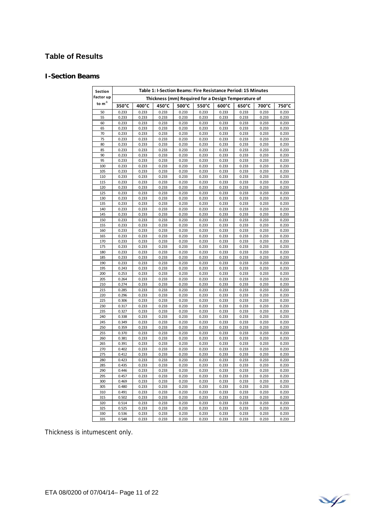# **Table of Results**

#### **I-Section Beams**

| Thickness (mm) Required for a Design Temperature of<br>to $m^{-1}$<br>350°C<br>400°C<br>500°C<br>700°C<br>450°C<br>550°C<br>$600^{\circ}$ C<br>$650^{\circ}$ C<br>750°C<br>0.233<br>0.233<br>0.233<br>0.233<br>0.233<br>0.233<br>0.233<br>0.233<br>0.233<br>50<br>55<br>0.233<br>0.233<br>0.233<br>0.233<br>0.233<br>0.233<br>0.233<br>0.233<br>0.233<br>60<br>0.233<br>0.233<br>0.233<br>0.233<br>0.233<br>0.233<br>0.233<br>0.233<br>0.233<br>65<br>0.233<br>0.233<br>0.233<br>0.233<br>0.233<br>0.233<br>0.233<br>0.233<br>0.233<br>70<br>0.233<br>0.233<br>0.233<br>0.233<br>0.233<br>0.233<br>0.233<br>0.233<br>0.233<br>75<br>0.233<br>0.233<br>0.233<br>0.233<br>0.233<br>0.233<br>0.233<br>0.233<br>0.233<br>80<br>0.233<br>0.233<br>0.233<br>0.233<br>0.233<br>0.233<br>0.233<br>0.233<br>0.233<br>85<br>0.233<br>0.233<br>0.233<br>0.233<br>0.233<br>0.233<br>0.233<br>0.233<br>0.233<br>90<br>0.233<br>0.233<br>0.233<br>0.233<br>0.233<br>0.233<br>0.233<br>0.233<br>0.233<br>95<br>0.233<br>0.233<br>0.233<br>0.233<br>0.233<br>0.233<br>0.233<br>0.233<br>0.233<br>100<br>0.233<br>0.233<br>0.233<br>0.233<br>0.233<br>0.233<br>0.233<br>0.233<br>0.233<br>105<br>0.233<br>0.233<br>0.233<br>0.233<br>0.233<br>0.233<br>0.233<br>0.233<br>0.233<br>110<br>0.233<br>0.233<br>0.233<br>0.233<br>0.233<br>0.233<br>0.233<br>0.233<br>0.233<br>115<br>0.233<br>0.233<br>0.233<br>0.233<br>0.233<br>0.233<br>0.233<br>0.233<br>0.233<br>120<br>0.233<br>0.233<br>0.233<br>0.233<br>0.233<br>0.233<br>0.233<br>0.233<br>0.233<br>0.233<br>0.233<br>125<br>0.233<br>0.233<br>0.233<br>0.233<br>0.233<br>0.233<br>0.233<br>0.233<br>0.233<br>0.233<br>130<br>0.233<br>0.233<br>0.233<br>0.233<br>0.233<br>0.233<br>135<br>0.233<br>0.233<br>0.233<br>0.233<br>0.233<br>0.233<br>0.233<br>0.233<br>0.233<br>140<br>0.233<br>0.233<br>0.233<br>0.233<br>0.233<br>0.233<br>0.233<br>0.233<br>0.233<br>145<br>0.233<br>0.233<br>0.233<br>0.233<br>0.233<br>0.233<br>0.233<br>0.233<br>0.233<br>150<br>0.233<br>0.233<br>0.233<br>0.233<br>0.233<br>0.233<br>0.233<br>0.233<br>0.233<br>155<br>0.233<br>0.233<br>0.233<br>0.233<br>0.233<br>0.233<br>0.233<br>0.233<br>0.233<br>160<br>0.233<br>0.233<br>0.233<br>0.233<br>0.233<br>0.233<br>0.233<br>0.233<br>0.233<br>0.233<br>0.233<br>165<br>0.233<br>0.233<br>0.233<br>0.233<br>0.233<br>0.233<br>0.233<br>0.233<br>0.233<br>0.233<br>0.233<br>0.233<br>0.233<br>0.233<br>0.233<br>0.233<br>170<br>0.233<br>0.233<br>175<br>0.233<br>0.233<br>0.233<br>0.233<br>0.233<br>0.233<br>0.233<br>180<br>0.233<br>0.233<br>0.233<br>0.233<br>0.233<br>0.233<br>0.233<br>0.233<br>0.233<br>185<br>0.233<br>0.233<br>0.233<br>0.233<br>0.233<br>0.233<br>0.233<br>0.233<br>0.233<br>190<br>0.233<br>0.233<br>0.233<br>0.233<br>0.233<br>0.233<br>0.233<br>0.233<br>0.233<br>195<br>0.243<br>0.233<br>0.233<br>0.233<br>0.233<br>0.233<br>0.233<br>0.233<br>0.233<br>200<br>0.253<br>0.233<br>0.233<br>0.233<br>0.233<br>0.233<br>0.233<br>0.233<br>0.233<br>205<br>0.264<br>0.233<br>0.233<br>0.233<br>0.233<br>0.233<br>0.233<br>0.233<br>0.233<br>0.274<br>0.233<br>0.233<br>0.233<br>0.233<br>0.233<br>0.233<br>0.233<br>0.233<br>210<br>215<br>0.285<br>0.233<br>0.233<br>0.233<br>0.233<br>0.233<br>0.233<br>0.233<br>0.233<br>0.233<br>220<br>0.296<br>0.233<br>0.233<br>0.233<br>0.233<br>0.233<br>0.233<br>0.233<br>225<br>0.306<br>0.233<br>0.233<br>0.233<br>0.233<br>0.233<br>0.233<br>0.233<br>0.233<br>230<br>0.317<br>0.233<br>0.233<br>0.233<br>0.233<br>0.233<br>0.233<br>0.233<br>0.233<br>235<br>0.327<br>0.233<br>0.233<br>0.233<br>0.233<br>0.233<br>0.233<br>0.233<br>0.233<br>240<br>0.338<br>0.233<br>0.233<br>0.233<br>0.233<br>0.233<br>0.233<br>0.233<br>0.233<br>245<br>0.349<br>0.233<br>0.233<br>0.233<br>0.233<br>0.233<br>0.233<br>0.233<br>0.233<br>0.233<br>250<br>0.359<br>0.233<br>0.233<br>0.233<br>0.233<br>0.233<br>0.233<br>0.233<br>0.233<br>0.233<br>255<br>0.370<br>0.233<br>0.233<br>0.233<br>0.233<br>0.233<br>0.233<br>260<br>0.381<br>0.233<br>0.233<br>0.233<br>0.233<br>0.233<br>0.233<br>0.233<br>0.233<br>265<br>0.391<br>0.233<br>0.233<br>0.233<br>0.233<br>0.233<br>0.233<br>0.233<br>0.233<br>270<br>0.402<br>0.233<br>0.233<br>0.233<br>0.233<br>0.233<br>0.233<br>0.233<br>0.233<br>275<br>0.233<br>0.233<br>0.233<br>0.233<br>0.233<br>0.412<br>0.233<br>0.233<br>0.233<br>280<br>0.423<br>0.233<br>0.233<br>0.233<br>0.233<br>0.233<br>0.233<br>0.233<br>0.233<br>285<br>0.435<br>0.233<br>0.233<br>0.233<br>0.233<br>0.233<br>0.233<br>0.233<br>0.233<br>290<br>0.446<br>0.233<br>0.233<br>0.233<br>0.233<br>0.233<br>0.233<br>0.233<br>0.233<br>295<br>0.233<br>0.457<br>0.233<br>0.233<br>0.233<br>0.233<br>0.233<br>0.233<br>0.233<br>0.233<br>300<br>0.469<br>0.233<br>0.233<br>0.233<br>0.233<br>0.233<br>0.233<br>0.233<br>305<br>0.480<br>0.233<br>0.233<br>0.233<br>0.233<br>0.233<br>0.233<br>0.233<br>0.233<br>310<br>0.491<br>0.233<br>0.233<br>0.233<br>0.233<br>0.233<br>0.233<br>0.233<br>0.233<br>315<br>0.502<br>0.233<br>0.233<br>0.233<br>0.233<br>0.233<br>0.233<br>0.233<br>0.233<br>320<br>0.514<br>0.233<br>0.233<br>0.233<br>0.233<br>0.233<br>0.233<br>0.233<br>0.233<br>325<br>0.525<br>0.233<br>0.233<br>0.233<br>0.233<br>0.233<br>0.233<br>0.233<br>0.233<br>330<br>0.536<br>0.233<br>0.233<br>0.233<br>0.233<br>0.233<br>0.233<br>0.233<br>0.233 | Section   |       |       |       |       |       | Table 1: I-Section Beams: Fire Resistance Period: 15 Minutes |       |       |       |
|---------------------------------------------------------------------------------------------------------------------------------------------------------------------------------------------------------------------------------------------------------------------------------------------------------------------------------------------------------------------------------------------------------------------------------------------------------------------------------------------------------------------------------------------------------------------------------------------------------------------------------------------------------------------------------------------------------------------------------------------------------------------------------------------------------------------------------------------------------------------------------------------------------------------------------------------------------------------------------------------------------------------------------------------------------------------------------------------------------------------------------------------------------------------------------------------------------------------------------------------------------------------------------------------------------------------------------------------------------------------------------------------------------------------------------------------------------------------------------------------------------------------------------------------------------------------------------------------------------------------------------------------------------------------------------------------------------------------------------------------------------------------------------------------------------------------------------------------------------------------------------------------------------------------------------------------------------------------------------------------------------------------------------------------------------------------------------------------------------------------------------------------------------------------------------------------------------------------------------------------------------------------------------------------------------------------------------------------------------------------------------------------------------------------------------------------------------------------------------------------------------------------------------------------------------------------------------------------------------------------------------------------------------------------------------------------------------------------------------------------------------------------------------------------------------------------------------------------------------------------------------------------------------------------------------------------------------------------------------------------------------------------------------------------------------------------------------------------------------------------------------------------------------------------------------------------------------------------------------------------------------------------------------------------------------------------------------------------------------------------------------------------------------------------------------------------------------------------------------------------------------------------------------------------------------------------------------------------------------------------------------------------------------------------------------------------------------------------------------------------------------------------------------------------------------------------------------------------------------------------------------------------------------------------------------------------------------------------------------------------------------------------------------------------------------------------------------------------------------------------------------------------------------------------------------------------------------------------------------------------------------------------------------------------------------------------------------------------------------------------------------------------------------------------------------------------------------------------------------------------------------------------------------------------------------------------------------------------------------------------------------------------------------------------------------------------------------------------------------------------------------------------------------------------------------------------------------------------------------------------------------------------------------------------------------------------------------------------------------------------------------------------------------------------------------------------------------------------------------------------------------------------------------------------------------------------------------------------------------------------------------------------------------------------------------------------------------------------------------------------------------------|-----------|-------|-------|-------|-------|-------|--------------------------------------------------------------|-------|-------|-------|
|                                                                                                                                                                                                                                                                                                                                                                                                                                                                                                                                                                                                                                                                                                                                                                                                                                                                                                                                                                                                                                                                                                                                                                                                                                                                                                                                                                                                                                                                                                                                                                                                                                                                                                                                                                                                                                                                                                                                                                                                                                                                                                                                                                                                                                                                                                                                                                                                                                                                                                                                                                                                                                                                                                                                                                                                                                                                                                                                                                                                                                                                                                                                                                                                                                                                                                                                                                                                                                                                                                                                                                                                                                                                                                                                                                                                                                                                                                                                                                                                                                                                                                                                                                                                                                                                                                                                                                                                                                                                                                                                                                                                                                                                                                                                                                                                                                                                                                                                                                                                                                                                                                                                                                                                                                                                                                                                                                                       | Factor up |       |       |       |       |       |                                                              |       |       |       |
|                                                                                                                                                                                                                                                                                                                                                                                                                                                                                                                                                                                                                                                                                                                                                                                                                                                                                                                                                                                                                                                                                                                                                                                                                                                                                                                                                                                                                                                                                                                                                                                                                                                                                                                                                                                                                                                                                                                                                                                                                                                                                                                                                                                                                                                                                                                                                                                                                                                                                                                                                                                                                                                                                                                                                                                                                                                                                                                                                                                                                                                                                                                                                                                                                                                                                                                                                                                                                                                                                                                                                                                                                                                                                                                                                                                                                                                                                                                                                                                                                                                                                                                                                                                                                                                                                                                                                                                                                                                                                                                                                                                                                                                                                                                                                                                                                                                                                                                                                                                                                                                                                                                                                                                                                                                                                                                                                                                       |           |       |       |       |       |       |                                                              |       |       |       |
|                                                                                                                                                                                                                                                                                                                                                                                                                                                                                                                                                                                                                                                                                                                                                                                                                                                                                                                                                                                                                                                                                                                                                                                                                                                                                                                                                                                                                                                                                                                                                                                                                                                                                                                                                                                                                                                                                                                                                                                                                                                                                                                                                                                                                                                                                                                                                                                                                                                                                                                                                                                                                                                                                                                                                                                                                                                                                                                                                                                                                                                                                                                                                                                                                                                                                                                                                                                                                                                                                                                                                                                                                                                                                                                                                                                                                                                                                                                                                                                                                                                                                                                                                                                                                                                                                                                                                                                                                                                                                                                                                                                                                                                                                                                                                                                                                                                                                                                                                                                                                                                                                                                                                                                                                                                                                                                                                                                       |           |       |       |       |       |       |                                                              |       |       |       |
|                                                                                                                                                                                                                                                                                                                                                                                                                                                                                                                                                                                                                                                                                                                                                                                                                                                                                                                                                                                                                                                                                                                                                                                                                                                                                                                                                                                                                                                                                                                                                                                                                                                                                                                                                                                                                                                                                                                                                                                                                                                                                                                                                                                                                                                                                                                                                                                                                                                                                                                                                                                                                                                                                                                                                                                                                                                                                                                                                                                                                                                                                                                                                                                                                                                                                                                                                                                                                                                                                                                                                                                                                                                                                                                                                                                                                                                                                                                                                                                                                                                                                                                                                                                                                                                                                                                                                                                                                                                                                                                                                                                                                                                                                                                                                                                                                                                                                                                                                                                                                                                                                                                                                                                                                                                                                                                                                                                       |           |       |       |       |       |       |                                                              |       |       |       |
|                                                                                                                                                                                                                                                                                                                                                                                                                                                                                                                                                                                                                                                                                                                                                                                                                                                                                                                                                                                                                                                                                                                                                                                                                                                                                                                                                                                                                                                                                                                                                                                                                                                                                                                                                                                                                                                                                                                                                                                                                                                                                                                                                                                                                                                                                                                                                                                                                                                                                                                                                                                                                                                                                                                                                                                                                                                                                                                                                                                                                                                                                                                                                                                                                                                                                                                                                                                                                                                                                                                                                                                                                                                                                                                                                                                                                                                                                                                                                                                                                                                                                                                                                                                                                                                                                                                                                                                                                                                                                                                                                                                                                                                                                                                                                                                                                                                                                                                                                                                                                                                                                                                                                                                                                                                                                                                                                                                       |           |       |       |       |       |       |                                                              |       |       |       |
|                                                                                                                                                                                                                                                                                                                                                                                                                                                                                                                                                                                                                                                                                                                                                                                                                                                                                                                                                                                                                                                                                                                                                                                                                                                                                                                                                                                                                                                                                                                                                                                                                                                                                                                                                                                                                                                                                                                                                                                                                                                                                                                                                                                                                                                                                                                                                                                                                                                                                                                                                                                                                                                                                                                                                                                                                                                                                                                                                                                                                                                                                                                                                                                                                                                                                                                                                                                                                                                                                                                                                                                                                                                                                                                                                                                                                                                                                                                                                                                                                                                                                                                                                                                                                                                                                                                                                                                                                                                                                                                                                                                                                                                                                                                                                                                                                                                                                                                                                                                                                                                                                                                                                                                                                                                                                                                                                                                       |           |       |       |       |       |       |                                                              |       |       |       |
|                                                                                                                                                                                                                                                                                                                                                                                                                                                                                                                                                                                                                                                                                                                                                                                                                                                                                                                                                                                                                                                                                                                                                                                                                                                                                                                                                                                                                                                                                                                                                                                                                                                                                                                                                                                                                                                                                                                                                                                                                                                                                                                                                                                                                                                                                                                                                                                                                                                                                                                                                                                                                                                                                                                                                                                                                                                                                                                                                                                                                                                                                                                                                                                                                                                                                                                                                                                                                                                                                                                                                                                                                                                                                                                                                                                                                                                                                                                                                                                                                                                                                                                                                                                                                                                                                                                                                                                                                                                                                                                                                                                                                                                                                                                                                                                                                                                                                                                                                                                                                                                                                                                                                                                                                                                                                                                                                                                       |           |       |       |       |       |       |                                                              |       |       |       |
|                                                                                                                                                                                                                                                                                                                                                                                                                                                                                                                                                                                                                                                                                                                                                                                                                                                                                                                                                                                                                                                                                                                                                                                                                                                                                                                                                                                                                                                                                                                                                                                                                                                                                                                                                                                                                                                                                                                                                                                                                                                                                                                                                                                                                                                                                                                                                                                                                                                                                                                                                                                                                                                                                                                                                                                                                                                                                                                                                                                                                                                                                                                                                                                                                                                                                                                                                                                                                                                                                                                                                                                                                                                                                                                                                                                                                                                                                                                                                                                                                                                                                                                                                                                                                                                                                                                                                                                                                                                                                                                                                                                                                                                                                                                                                                                                                                                                                                                                                                                                                                                                                                                                                                                                                                                                                                                                                                                       |           |       |       |       |       |       |                                                              |       |       |       |
|                                                                                                                                                                                                                                                                                                                                                                                                                                                                                                                                                                                                                                                                                                                                                                                                                                                                                                                                                                                                                                                                                                                                                                                                                                                                                                                                                                                                                                                                                                                                                                                                                                                                                                                                                                                                                                                                                                                                                                                                                                                                                                                                                                                                                                                                                                                                                                                                                                                                                                                                                                                                                                                                                                                                                                                                                                                                                                                                                                                                                                                                                                                                                                                                                                                                                                                                                                                                                                                                                                                                                                                                                                                                                                                                                                                                                                                                                                                                                                                                                                                                                                                                                                                                                                                                                                                                                                                                                                                                                                                                                                                                                                                                                                                                                                                                                                                                                                                                                                                                                                                                                                                                                                                                                                                                                                                                                                                       |           |       |       |       |       |       |                                                              |       |       |       |
|                                                                                                                                                                                                                                                                                                                                                                                                                                                                                                                                                                                                                                                                                                                                                                                                                                                                                                                                                                                                                                                                                                                                                                                                                                                                                                                                                                                                                                                                                                                                                                                                                                                                                                                                                                                                                                                                                                                                                                                                                                                                                                                                                                                                                                                                                                                                                                                                                                                                                                                                                                                                                                                                                                                                                                                                                                                                                                                                                                                                                                                                                                                                                                                                                                                                                                                                                                                                                                                                                                                                                                                                                                                                                                                                                                                                                                                                                                                                                                                                                                                                                                                                                                                                                                                                                                                                                                                                                                                                                                                                                                                                                                                                                                                                                                                                                                                                                                                                                                                                                                                                                                                                                                                                                                                                                                                                                                                       |           |       |       |       |       |       |                                                              |       |       |       |
|                                                                                                                                                                                                                                                                                                                                                                                                                                                                                                                                                                                                                                                                                                                                                                                                                                                                                                                                                                                                                                                                                                                                                                                                                                                                                                                                                                                                                                                                                                                                                                                                                                                                                                                                                                                                                                                                                                                                                                                                                                                                                                                                                                                                                                                                                                                                                                                                                                                                                                                                                                                                                                                                                                                                                                                                                                                                                                                                                                                                                                                                                                                                                                                                                                                                                                                                                                                                                                                                                                                                                                                                                                                                                                                                                                                                                                                                                                                                                                                                                                                                                                                                                                                                                                                                                                                                                                                                                                                                                                                                                                                                                                                                                                                                                                                                                                                                                                                                                                                                                                                                                                                                                                                                                                                                                                                                                                                       |           |       |       |       |       |       |                                                              |       |       |       |
|                                                                                                                                                                                                                                                                                                                                                                                                                                                                                                                                                                                                                                                                                                                                                                                                                                                                                                                                                                                                                                                                                                                                                                                                                                                                                                                                                                                                                                                                                                                                                                                                                                                                                                                                                                                                                                                                                                                                                                                                                                                                                                                                                                                                                                                                                                                                                                                                                                                                                                                                                                                                                                                                                                                                                                                                                                                                                                                                                                                                                                                                                                                                                                                                                                                                                                                                                                                                                                                                                                                                                                                                                                                                                                                                                                                                                                                                                                                                                                                                                                                                                                                                                                                                                                                                                                                                                                                                                                                                                                                                                                                                                                                                                                                                                                                                                                                                                                                                                                                                                                                                                                                                                                                                                                                                                                                                                                                       |           |       |       |       |       |       |                                                              |       |       |       |
|                                                                                                                                                                                                                                                                                                                                                                                                                                                                                                                                                                                                                                                                                                                                                                                                                                                                                                                                                                                                                                                                                                                                                                                                                                                                                                                                                                                                                                                                                                                                                                                                                                                                                                                                                                                                                                                                                                                                                                                                                                                                                                                                                                                                                                                                                                                                                                                                                                                                                                                                                                                                                                                                                                                                                                                                                                                                                                                                                                                                                                                                                                                                                                                                                                                                                                                                                                                                                                                                                                                                                                                                                                                                                                                                                                                                                                                                                                                                                                                                                                                                                                                                                                                                                                                                                                                                                                                                                                                                                                                                                                                                                                                                                                                                                                                                                                                                                                                                                                                                                                                                                                                                                                                                                                                                                                                                                                                       |           |       |       |       |       |       |                                                              |       |       |       |
|                                                                                                                                                                                                                                                                                                                                                                                                                                                                                                                                                                                                                                                                                                                                                                                                                                                                                                                                                                                                                                                                                                                                                                                                                                                                                                                                                                                                                                                                                                                                                                                                                                                                                                                                                                                                                                                                                                                                                                                                                                                                                                                                                                                                                                                                                                                                                                                                                                                                                                                                                                                                                                                                                                                                                                                                                                                                                                                                                                                                                                                                                                                                                                                                                                                                                                                                                                                                                                                                                                                                                                                                                                                                                                                                                                                                                                                                                                                                                                                                                                                                                                                                                                                                                                                                                                                                                                                                                                                                                                                                                                                                                                                                                                                                                                                                                                                                                                                                                                                                                                                                                                                                                                                                                                                                                                                                                                                       |           |       |       |       |       |       |                                                              |       |       |       |
|                                                                                                                                                                                                                                                                                                                                                                                                                                                                                                                                                                                                                                                                                                                                                                                                                                                                                                                                                                                                                                                                                                                                                                                                                                                                                                                                                                                                                                                                                                                                                                                                                                                                                                                                                                                                                                                                                                                                                                                                                                                                                                                                                                                                                                                                                                                                                                                                                                                                                                                                                                                                                                                                                                                                                                                                                                                                                                                                                                                                                                                                                                                                                                                                                                                                                                                                                                                                                                                                                                                                                                                                                                                                                                                                                                                                                                                                                                                                                                                                                                                                                                                                                                                                                                                                                                                                                                                                                                                                                                                                                                                                                                                                                                                                                                                                                                                                                                                                                                                                                                                                                                                                                                                                                                                                                                                                                                                       |           |       |       |       |       |       |                                                              |       |       |       |
|                                                                                                                                                                                                                                                                                                                                                                                                                                                                                                                                                                                                                                                                                                                                                                                                                                                                                                                                                                                                                                                                                                                                                                                                                                                                                                                                                                                                                                                                                                                                                                                                                                                                                                                                                                                                                                                                                                                                                                                                                                                                                                                                                                                                                                                                                                                                                                                                                                                                                                                                                                                                                                                                                                                                                                                                                                                                                                                                                                                                                                                                                                                                                                                                                                                                                                                                                                                                                                                                                                                                                                                                                                                                                                                                                                                                                                                                                                                                                                                                                                                                                                                                                                                                                                                                                                                                                                                                                                                                                                                                                                                                                                                                                                                                                                                                                                                                                                                                                                                                                                                                                                                                                                                                                                                                                                                                                                                       |           |       |       |       |       |       |                                                              |       |       |       |
|                                                                                                                                                                                                                                                                                                                                                                                                                                                                                                                                                                                                                                                                                                                                                                                                                                                                                                                                                                                                                                                                                                                                                                                                                                                                                                                                                                                                                                                                                                                                                                                                                                                                                                                                                                                                                                                                                                                                                                                                                                                                                                                                                                                                                                                                                                                                                                                                                                                                                                                                                                                                                                                                                                                                                                                                                                                                                                                                                                                                                                                                                                                                                                                                                                                                                                                                                                                                                                                                                                                                                                                                                                                                                                                                                                                                                                                                                                                                                                                                                                                                                                                                                                                                                                                                                                                                                                                                                                                                                                                                                                                                                                                                                                                                                                                                                                                                                                                                                                                                                                                                                                                                                                                                                                                                                                                                                                                       |           |       |       |       |       |       |                                                              |       |       |       |
|                                                                                                                                                                                                                                                                                                                                                                                                                                                                                                                                                                                                                                                                                                                                                                                                                                                                                                                                                                                                                                                                                                                                                                                                                                                                                                                                                                                                                                                                                                                                                                                                                                                                                                                                                                                                                                                                                                                                                                                                                                                                                                                                                                                                                                                                                                                                                                                                                                                                                                                                                                                                                                                                                                                                                                                                                                                                                                                                                                                                                                                                                                                                                                                                                                                                                                                                                                                                                                                                                                                                                                                                                                                                                                                                                                                                                                                                                                                                                                                                                                                                                                                                                                                                                                                                                                                                                                                                                                                                                                                                                                                                                                                                                                                                                                                                                                                                                                                                                                                                                                                                                                                                                                                                                                                                                                                                                                                       |           |       |       |       |       |       |                                                              |       |       |       |
|                                                                                                                                                                                                                                                                                                                                                                                                                                                                                                                                                                                                                                                                                                                                                                                                                                                                                                                                                                                                                                                                                                                                                                                                                                                                                                                                                                                                                                                                                                                                                                                                                                                                                                                                                                                                                                                                                                                                                                                                                                                                                                                                                                                                                                                                                                                                                                                                                                                                                                                                                                                                                                                                                                                                                                                                                                                                                                                                                                                                                                                                                                                                                                                                                                                                                                                                                                                                                                                                                                                                                                                                                                                                                                                                                                                                                                                                                                                                                                                                                                                                                                                                                                                                                                                                                                                                                                                                                                                                                                                                                                                                                                                                                                                                                                                                                                                                                                                                                                                                                                                                                                                                                                                                                                                                                                                                                                                       |           |       |       |       |       |       |                                                              |       |       |       |
|                                                                                                                                                                                                                                                                                                                                                                                                                                                                                                                                                                                                                                                                                                                                                                                                                                                                                                                                                                                                                                                                                                                                                                                                                                                                                                                                                                                                                                                                                                                                                                                                                                                                                                                                                                                                                                                                                                                                                                                                                                                                                                                                                                                                                                                                                                                                                                                                                                                                                                                                                                                                                                                                                                                                                                                                                                                                                                                                                                                                                                                                                                                                                                                                                                                                                                                                                                                                                                                                                                                                                                                                                                                                                                                                                                                                                                                                                                                                                                                                                                                                                                                                                                                                                                                                                                                                                                                                                                                                                                                                                                                                                                                                                                                                                                                                                                                                                                                                                                                                                                                                                                                                                                                                                                                                                                                                                                                       |           |       |       |       |       |       |                                                              |       |       |       |
|                                                                                                                                                                                                                                                                                                                                                                                                                                                                                                                                                                                                                                                                                                                                                                                                                                                                                                                                                                                                                                                                                                                                                                                                                                                                                                                                                                                                                                                                                                                                                                                                                                                                                                                                                                                                                                                                                                                                                                                                                                                                                                                                                                                                                                                                                                                                                                                                                                                                                                                                                                                                                                                                                                                                                                                                                                                                                                                                                                                                                                                                                                                                                                                                                                                                                                                                                                                                                                                                                                                                                                                                                                                                                                                                                                                                                                                                                                                                                                                                                                                                                                                                                                                                                                                                                                                                                                                                                                                                                                                                                                                                                                                                                                                                                                                                                                                                                                                                                                                                                                                                                                                                                                                                                                                                                                                                                                                       |           |       |       |       |       |       |                                                              |       |       |       |
|                                                                                                                                                                                                                                                                                                                                                                                                                                                                                                                                                                                                                                                                                                                                                                                                                                                                                                                                                                                                                                                                                                                                                                                                                                                                                                                                                                                                                                                                                                                                                                                                                                                                                                                                                                                                                                                                                                                                                                                                                                                                                                                                                                                                                                                                                                                                                                                                                                                                                                                                                                                                                                                                                                                                                                                                                                                                                                                                                                                                                                                                                                                                                                                                                                                                                                                                                                                                                                                                                                                                                                                                                                                                                                                                                                                                                                                                                                                                                                                                                                                                                                                                                                                                                                                                                                                                                                                                                                                                                                                                                                                                                                                                                                                                                                                                                                                                                                                                                                                                                                                                                                                                                                                                                                                                                                                                                                                       |           |       |       |       |       |       |                                                              |       |       |       |
|                                                                                                                                                                                                                                                                                                                                                                                                                                                                                                                                                                                                                                                                                                                                                                                                                                                                                                                                                                                                                                                                                                                                                                                                                                                                                                                                                                                                                                                                                                                                                                                                                                                                                                                                                                                                                                                                                                                                                                                                                                                                                                                                                                                                                                                                                                                                                                                                                                                                                                                                                                                                                                                                                                                                                                                                                                                                                                                                                                                                                                                                                                                                                                                                                                                                                                                                                                                                                                                                                                                                                                                                                                                                                                                                                                                                                                                                                                                                                                                                                                                                                                                                                                                                                                                                                                                                                                                                                                                                                                                                                                                                                                                                                                                                                                                                                                                                                                                                                                                                                                                                                                                                                                                                                                                                                                                                                                                       |           |       |       |       |       |       |                                                              |       |       |       |
|                                                                                                                                                                                                                                                                                                                                                                                                                                                                                                                                                                                                                                                                                                                                                                                                                                                                                                                                                                                                                                                                                                                                                                                                                                                                                                                                                                                                                                                                                                                                                                                                                                                                                                                                                                                                                                                                                                                                                                                                                                                                                                                                                                                                                                                                                                                                                                                                                                                                                                                                                                                                                                                                                                                                                                                                                                                                                                                                                                                                                                                                                                                                                                                                                                                                                                                                                                                                                                                                                                                                                                                                                                                                                                                                                                                                                                                                                                                                                                                                                                                                                                                                                                                                                                                                                                                                                                                                                                                                                                                                                                                                                                                                                                                                                                                                                                                                                                                                                                                                                                                                                                                                                                                                                                                                                                                                                                                       |           |       |       |       |       |       |                                                              |       |       |       |
|                                                                                                                                                                                                                                                                                                                                                                                                                                                                                                                                                                                                                                                                                                                                                                                                                                                                                                                                                                                                                                                                                                                                                                                                                                                                                                                                                                                                                                                                                                                                                                                                                                                                                                                                                                                                                                                                                                                                                                                                                                                                                                                                                                                                                                                                                                                                                                                                                                                                                                                                                                                                                                                                                                                                                                                                                                                                                                                                                                                                                                                                                                                                                                                                                                                                                                                                                                                                                                                                                                                                                                                                                                                                                                                                                                                                                                                                                                                                                                                                                                                                                                                                                                                                                                                                                                                                                                                                                                                                                                                                                                                                                                                                                                                                                                                                                                                                                                                                                                                                                                                                                                                                                                                                                                                                                                                                                                                       |           |       |       |       |       |       |                                                              |       |       |       |
|                                                                                                                                                                                                                                                                                                                                                                                                                                                                                                                                                                                                                                                                                                                                                                                                                                                                                                                                                                                                                                                                                                                                                                                                                                                                                                                                                                                                                                                                                                                                                                                                                                                                                                                                                                                                                                                                                                                                                                                                                                                                                                                                                                                                                                                                                                                                                                                                                                                                                                                                                                                                                                                                                                                                                                                                                                                                                                                                                                                                                                                                                                                                                                                                                                                                                                                                                                                                                                                                                                                                                                                                                                                                                                                                                                                                                                                                                                                                                                                                                                                                                                                                                                                                                                                                                                                                                                                                                                                                                                                                                                                                                                                                                                                                                                                                                                                                                                                                                                                                                                                                                                                                                                                                                                                                                                                                                                                       |           |       |       |       |       |       |                                                              |       |       |       |
|                                                                                                                                                                                                                                                                                                                                                                                                                                                                                                                                                                                                                                                                                                                                                                                                                                                                                                                                                                                                                                                                                                                                                                                                                                                                                                                                                                                                                                                                                                                                                                                                                                                                                                                                                                                                                                                                                                                                                                                                                                                                                                                                                                                                                                                                                                                                                                                                                                                                                                                                                                                                                                                                                                                                                                                                                                                                                                                                                                                                                                                                                                                                                                                                                                                                                                                                                                                                                                                                                                                                                                                                                                                                                                                                                                                                                                                                                                                                                                                                                                                                                                                                                                                                                                                                                                                                                                                                                                                                                                                                                                                                                                                                                                                                                                                                                                                                                                                                                                                                                                                                                                                                                                                                                                                                                                                                                                                       |           |       |       |       |       |       |                                                              |       |       |       |
|                                                                                                                                                                                                                                                                                                                                                                                                                                                                                                                                                                                                                                                                                                                                                                                                                                                                                                                                                                                                                                                                                                                                                                                                                                                                                                                                                                                                                                                                                                                                                                                                                                                                                                                                                                                                                                                                                                                                                                                                                                                                                                                                                                                                                                                                                                                                                                                                                                                                                                                                                                                                                                                                                                                                                                                                                                                                                                                                                                                                                                                                                                                                                                                                                                                                                                                                                                                                                                                                                                                                                                                                                                                                                                                                                                                                                                                                                                                                                                                                                                                                                                                                                                                                                                                                                                                                                                                                                                                                                                                                                                                                                                                                                                                                                                                                                                                                                                                                                                                                                                                                                                                                                                                                                                                                                                                                                                                       |           |       |       |       |       |       |                                                              |       |       |       |
|                                                                                                                                                                                                                                                                                                                                                                                                                                                                                                                                                                                                                                                                                                                                                                                                                                                                                                                                                                                                                                                                                                                                                                                                                                                                                                                                                                                                                                                                                                                                                                                                                                                                                                                                                                                                                                                                                                                                                                                                                                                                                                                                                                                                                                                                                                                                                                                                                                                                                                                                                                                                                                                                                                                                                                                                                                                                                                                                                                                                                                                                                                                                                                                                                                                                                                                                                                                                                                                                                                                                                                                                                                                                                                                                                                                                                                                                                                                                                                                                                                                                                                                                                                                                                                                                                                                                                                                                                                                                                                                                                                                                                                                                                                                                                                                                                                                                                                                                                                                                                                                                                                                                                                                                                                                                                                                                                                                       |           |       |       |       |       |       |                                                              |       |       |       |
|                                                                                                                                                                                                                                                                                                                                                                                                                                                                                                                                                                                                                                                                                                                                                                                                                                                                                                                                                                                                                                                                                                                                                                                                                                                                                                                                                                                                                                                                                                                                                                                                                                                                                                                                                                                                                                                                                                                                                                                                                                                                                                                                                                                                                                                                                                                                                                                                                                                                                                                                                                                                                                                                                                                                                                                                                                                                                                                                                                                                                                                                                                                                                                                                                                                                                                                                                                                                                                                                                                                                                                                                                                                                                                                                                                                                                                                                                                                                                                                                                                                                                                                                                                                                                                                                                                                                                                                                                                                                                                                                                                                                                                                                                                                                                                                                                                                                                                                                                                                                                                                                                                                                                                                                                                                                                                                                                                                       |           |       |       |       |       |       |                                                              |       |       |       |
|                                                                                                                                                                                                                                                                                                                                                                                                                                                                                                                                                                                                                                                                                                                                                                                                                                                                                                                                                                                                                                                                                                                                                                                                                                                                                                                                                                                                                                                                                                                                                                                                                                                                                                                                                                                                                                                                                                                                                                                                                                                                                                                                                                                                                                                                                                                                                                                                                                                                                                                                                                                                                                                                                                                                                                                                                                                                                                                                                                                                                                                                                                                                                                                                                                                                                                                                                                                                                                                                                                                                                                                                                                                                                                                                                                                                                                                                                                                                                                                                                                                                                                                                                                                                                                                                                                                                                                                                                                                                                                                                                                                                                                                                                                                                                                                                                                                                                                                                                                                                                                                                                                                                                                                                                                                                                                                                                                                       |           |       |       |       |       |       |                                                              |       |       |       |
|                                                                                                                                                                                                                                                                                                                                                                                                                                                                                                                                                                                                                                                                                                                                                                                                                                                                                                                                                                                                                                                                                                                                                                                                                                                                                                                                                                                                                                                                                                                                                                                                                                                                                                                                                                                                                                                                                                                                                                                                                                                                                                                                                                                                                                                                                                                                                                                                                                                                                                                                                                                                                                                                                                                                                                                                                                                                                                                                                                                                                                                                                                                                                                                                                                                                                                                                                                                                                                                                                                                                                                                                                                                                                                                                                                                                                                                                                                                                                                                                                                                                                                                                                                                                                                                                                                                                                                                                                                                                                                                                                                                                                                                                                                                                                                                                                                                                                                                                                                                                                                                                                                                                                                                                                                                                                                                                                                                       |           |       |       |       |       |       |                                                              |       |       |       |
|                                                                                                                                                                                                                                                                                                                                                                                                                                                                                                                                                                                                                                                                                                                                                                                                                                                                                                                                                                                                                                                                                                                                                                                                                                                                                                                                                                                                                                                                                                                                                                                                                                                                                                                                                                                                                                                                                                                                                                                                                                                                                                                                                                                                                                                                                                                                                                                                                                                                                                                                                                                                                                                                                                                                                                                                                                                                                                                                                                                                                                                                                                                                                                                                                                                                                                                                                                                                                                                                                                                                                                                                                                                                                                                                                                                                                                                                                                                                                                                                                                                                                                                                                                                                                                                                                                                                                                                                                                                                                                                                                                                                                                                                                                                                                                                                                                                                                                                                                                                                                                                                                                                                                                                                                                                                                                                                                                                       |           |       |       |       |       |       |                                                              |       |       |       |
|                                                                                                                                                                                                                                                                                                                                                                                                                                                                                                                                                                                                                                                                                                                                                                                                                                                                                                                                                                                                                                                                                                                                                                                                                                                                                                                                                                                                                                                                                                                                                                                                                                                                                                                                                                                                                                                                                                                                                                                                                                                                                                                                                                                                                                                                                                                                                                                                                                                                                                                                                                                                                                                                                                                                                                                                                                                                                                                                                                                                                                                                                                                                                                                                                                                                                                                                                                                                                                                                                                                                                                                                                                                                                                                                                                                                                                                                                                                                                                                                                                                                                                                                                                                                                                                                                                                                                                                                                                                                                                                                                                                                                                                                                                                                                                                                                                                                                                                                                                                                                                                                                                                                                                                                                                                                                                                                                                                       |           |       |       |       |       |       |                                                              |       |       |       |
|                                                                                                                                                                                                                                                                                                                                                                                                                                                                                                                                                                                                                                                                                                                                                                                                                                                                                                                                                                                                                                                                                                                                                                                                                                                                                                                                                                                                                                                                                                                                                                                                                                                                                                                                                                                                                                                                                                                                                                                                                                                                                                                                                                                                                                                                                                                                                                                                                                                                                                                                                                                                                                                                                                                                                                                                                                                                                                                                                                                                                                                                                                                                                                                                                                                                                                                                                                                                                                                                                                                                                                                                                                                                                                                                                                                                                                                                                                                                                                                                                                                                                                                                                                                                                                                                                                                                                                                                                                                                                                                                                                                                                                                                                                                                                                                                                                                                                                                                                                                                                                                                                                                                                                                                                                                                                                                                                                                       |           |       |       |       |       |       |                                                              |       |       |       |
|                                                                                                                                                                                                                                                                                                                                                                                                                                                                                                                                                                                                                                                                                                                                                                                                                                                                                                                                                                                                                                                                                                                                                                                                                                                                                                                                                                                                                                                                                                                                                                                                                                                                                                                                                                                                                                                                                                                                                                                                                                                                                                                                                                                                                                                                                                                                                                                                                                                                                                                                                                                                                                                                                                                                                                                                                                                                                                                                                                                                                                                                                                                                                                                                                                                                                                                                                                                                                                                                                                                                                                                                                                                                                                                                                                                                                                                                                                                                                                                                                                                                                                                                                                                                                                                                                                                                                                                                                                                                                                                                                                                                                                                                                                                                                                                                                                                                                                                                                                                                                                                                                                                                                                                                                                                                                                                                                                                       |           |       |       |       |       |       |                                                              |       |       |       |
|                                                                                                                                                                                                                                                                                                                                                                                                                                                                                                                                                                                                                                                                                                                                                                                                                                                                                                                                                                                                                                                                                                                                                                                                                                                                                                                                                                                                                                                                                                                                                                                                                                                                                                                                                                                                                                                                                                                                                                                                                                                                                                                                                                                                                                                                                                                                                                                                                                                                                                                                                                                                                                                                                                                                                                                                                                                                                                                                                                                                                                                                                                                                                                                                                                                                                                                                                                                                                                                                                                                                                                                                                                                                                                                                                                                                                                                                                                                                                                                                                                                                                                                                                                                                                                                                                                                                                                                                                                                                                                                                                                                                                                                                                                                                                                                                                                                                                                                                                                                                                                                                                                                                                                                                                                                                                                                                                                                       |           |       |       |       |       |       |                                                              |       |       |       |
|                                                                                                                                                                                                                                                                                                                                                                                                                                                                                                                                                                                                                                                                                                                                                                                                                                                                                                                                                                                                                                                                                                                                                                                                                                                                                                                                                                                                                                                                                                                                                                                                                                                                                                                                                                                                                                                                                                                                                                                                                                                                                                                                                                                                                                                                                                                                                                                                                                                                                                                                                                                                                                                                                                                                                                                                                                                                                                                                                                                                                                                                                                                                                                                                                                                                                                                                                                                                                                                                                                                                                                                                                                                                                                                                                                                                                                                                                                                                                                                                                                                                                                                                                                                                                                                                                                                                                                                                                                                                                                                                                                                                                                                                                                                                                                                                                                                                                                                                                                                                                                                                                                                                                                                                                                                                                                                                                                                       |           |       |       |       |       |       |                                                              |       |       |       |
|                                                                                                                                                                                                                                                                                                                                                                                                                                                                                                                                                                                                                                                                                                                                                                                                                                                                                                                                                                                                                                                                                                                                                                                                                                                                                                                                                                                                                                                                                                                                                                                                                                                                                                                                                                                                                                                                                                                                                                                                                                                                                                                                                                                                                                                                                                                                                                                                                                                                                                                                                                                                                                                                                                                                                                                                                                                                                                                                                                                                                                                                                                                                                                                                                                                                                                                                                                                                                                                                                                                                                                                                                                                                                                                                                                                                                                                                                                                                                                                                                                                                                                                                                                                                                                                                                                                                                                                                                                                                                                                                                                                                                                                                                                                                                                                                                                                                                                                                                                                                                                                                                                                                                                                                                                                                                                                                                                                       |           |       |       |       |       |       |                                                              |       |       |       |
|                                                                                                                                                                                                                                                                                                                                                                                                                                                                                                                                                                                                                                                                                                                                                                                                                                                                                                                                                                                                                                                                                                                                                                                                                                                                                                                                                                                                                                                                                                                                                                                                                                                                                                                                                                                                                                                                                                                                                                                                                                                                                                                                                                                                                                                                                                                                                                                                                                                                                                                                                                                                                                                                                                                                                                                                                                                                                                                                                                                                                                                                                                                                                                                                                                                                                                                                                                                                                                                                                                                                                                                                                                                                                                                                                                                                                                                                                                                                                                                                                                                                                                                                                                                                                                                                                                                                                                                                                                                                                                                                                                                                                                                                                                                                                                                                                                                                                                                                                                                                                                                                                                                                                                                                                                                                                                                                                                                       |           |       |       |       |       |       |                                                              |       |       |       |
|                                                                                                                                                                                                                                                                                                                                                                                                                                                                                                                                                                                                                                                                                                                                                                                                                                                                                                                                                                                                                                                                                                                                                                                                                                                                                                                                                                                                                                                                                                                                                                                                                                                                                                                                                                                                                                                                                                                                                                                                                                                                                                                                                                                                                                                                                                                                                                                                                                                                                                                                                                                                                                                                                                                                                                                                                                                                                                                                                                                                                                                                                                                                                                                                                                                                                                                                                                                                                                                                                                                                                                                                                                                                                                                                                                                                                                                                                                                                                                                                                                                                                                                                                                                                                                                                                                                                                                                                                                                                                                                                                                                                                                                                                                                                                                                                                                                                                                                                                                                                                                                                                                                                                                                                                                                                                                                                                                                       |           |       |       |       |       |       |                                                              |       |       |       |
|                                                                                                                                                                                                                                                                                                                                                                                                                                                                                                                                                                                                                                                                                                                                                                                                                                                                                                                                                                                                                                                                                                                                                                                                                                                                                                                                                                                                                                                                                                                                                                                                                                                                                                                                                                                                                                                                                                                                                                                                                                                                                                                                                                                                                                                                                                                                                                                                                                                                                                                                                                                                                                                                                                                                                                                                                                                                                                                                                                                                                                                                                                                                                                                                                                                                                                                                                                                                                                                                                                                                                                                                                                                                                                                                                                                                                                                                                                                                                                                                                                                                                                                                                                                                                                                                                                                                                                                                                                                                                                                                                                                                                                                                                                                                                                                                                                                                                                                                                                                                                                                                                                                                                                                                                                                                                                                                                                                       |           |       |       |       |       |       |                                                              |       |       |       |
|                                                                                                                                                                                                                                                                                                                                                                                                                                                                                                                                                                                                                                                                                                                                                                                                                                                                                                                                                                                                                                                                                                                                                                                                                                                                                                                                                                                                                                                                                                                                                                                                                                                                                                                                                                                                                                                                                                                                                                                                                                                                                                                                                                                                                                                                                                                                                                                                                                                                                                                                                                                                                                                                                                                                                                                                                                                                                                                                                                                                                                                                                                                                                                                                                                                                                                                                                                                                                                                                                                                                                                                                                                                                                                                                                                                                                                                                                                                                                                                                                                                                                                                                                                                                                                                                                                                                                                                                                                                                                                                                                                                                                                                                                                                                                                                                                                                                                                                                                                                                                                                                                                                                                                                                                                                                                                                                                                                       |           |       |       |       |       |       |                                                              |       |       |       |
|                                                                                                                                                                                                                                                                                                                                                                                                                                                                                                                                                                                                                                                                                                                                                                                                                                                                                                                                                                                                                                                                                                                                                                                                                                                                                                                                                                                                                                                                                                                                                                                                                                                                                                                                                                                                                                                                                                                                                                                                                                                                                                                                                                                                                                                                                                                                                                                                                                                                                                                                                                                                                                                                                                                                                                                                                                                                                                                                                                                                                                                                                                                                                                                                                                                                                                                                                                                                                                                                                                                                                                                                                                                                                                                                                                                                                                                                                                                                                                                                                                                                                                                                                                                                                                                                                                                                                                                                                                                                                                                                                                                                                                                                                                                                                                                                                                                                                                                                                                                                                                                                                                                                                                                                                                                                                                                                                                                       |           |       |       |       |       |       |                                                              |       |       |       |
|                                                                                                                                                                                                                                                                                                                                                                                                                                                                                                                                                                                                                                                                                                                                                                                                                                                                                                                                                                                                                                                                                                                                                                                                                                                                                                                                                                                                                                                                                                                                                                                                                                                                                                                                                                                                                                                                                                                                                                                                                                                                                                                                                                                                                                                                                                                                                                                                                                                                                                                                                                                                                                                                                                                                                                                                                                                                                                                                                                                                                                                                                                                                                                                                                                                                                                                                                                                                                                                                                                                                                                                                                                                                                                                                                                                                                                                                                                                                                                                                                                                                                                                                                                                                                                                                                                                                                                                                                                                                                                                                                                                                                                                                                                                                                                                                                                                                                                                                                                                                                                                                                                                                                                                                                                                                                                                                                                                       |           |       |       |       |       |       |                                                              |       |       |       |
|                                                                                                                                                                                                                                                                                                                                                                                                                                                                                                                                                                                                                                                                                                                                                                                                                                                                                                                                                                                                                                                                                                                                                                                                                                                                                                                                                                                                                                                                                                                                                                                                                                                                                                                                                                                                                                                                                                                                                                                                                                                                                                                                                                                                                                                                                                                                                                                                                                                                                                                                                                                                                                                                                                                                                                                                                                                                                                                                                                                                                                                                                                                                                                                                                                                                                                                                                                                                                                                                                                                                                                                                                                                                                                                                                                                                                                                                                                                                                                                                                                                                                                                                                                                                                                                                                                                                                                                                                                                                                                                                                                                                                                                                                                                                                                                                                                                                                                                                                                                                                                                                                                                                                                                                                                                                                                                                                                                       |           |       |       |       |       |       |                                                              |       |       |       |
|                                                                                                                                                                                                                                                                                                                                                                                                                                                                                                                                                                                                                                                                                                                                                                                                                                                                                                                                                                                                                                                                                                                                                                                                                                                                                                                                                                                                                                                                                                                                                                                                                                                                                                                                                                                                                                                                                                                                                                                                                                                                                                                                                                                                                                                                                                                                                                                                                                                                                                                                                                                                                                                                                                                                                                                                                                                                                                                                                                                                                                                                                                                                                                                                                                                                                                                                                                                                                                                                                                                                                                                                                                                                                                                                                                                                                                                                                                                                                                                                                                                                                                                                                                                                                                                                                                                                                                                                                                                                                                                                                                                                                                                                                                                                                                                                                                                                                                                                                                                                                                                                                                                                                                                                                                                                                                                                                                                       |           |       |       |       |       |       |                                                              |       |       |       |
|                                                                                                                                                                                                                                                                                                                                                                                                                                                                                                                                                                                                                                                                                                                                                                                                                                                                                                                                                                                                                                                                                                                                                                                                                                                                                                                                                                                                                                                                                                                                                                                                                                                                                                                                                                                                                                                                                                                                                                                                                                                                                                                                                                                                                                                                                                                                                                                                                                                                                                                                                                                                                                                                                                                                                                                                                                                                                                                                                                                                                                                                                                                                                                                                                                                                                                                                                                                                                                                                                                                                                                                                                                                                                                                                                                                                                                                                                                                                                                                                                                                                                                                                                                                                                                                                                                                                                                                                                                                                                                                                                                                                                                                                                                                                                                                                                                                                                                                                                                                                                                                                                                                                                                                                                                                                                                                                                                                       |           |       |       |       |       |       |                                                              |       |       |       |
|                                                                                                                                                                                                                                                                                                                                                                                                                                                                                                                                                                                                                                                                                                                                                                                                                                                                                                                                                                                                                                                                                                                                                                                                                                                                                                                                                                                                                                                                                                                                                                                                                                                                                                                                                                                                                                                                                                                                                                                                                                                                                                                                                                                                                                                                                                                                                                                                                                                                                                                                                                                                                                                                                                                                                                                                                                                                                                                                                                                                                                                                                                                                                                                                                                                                                                                                                                                                                                                                                                                                                                                                                                                                                                                                                                                                                                                                                                                                                                                                                                                                                                                                                                                                                                                                                                                                                                                                                                                                                                                                                                                                                                                                                                                                                                                                                                                                                                                                                                                                                                                                                                                                                                                                                                                                                                                                                                                       |           |       |       |       |       |       |                                                              |       |       |       |
|                                                                                                                                                                                                                                                                                                                                                                                                                                                                                                                                                                                                                                                                                                                                                                                                                                                                                                                                                                                                                                                                                                                                                                                                                                                                                                                                                                                                                                                                                                                                                                                                                                                                                                                                                                                                                                                                                                                                                                                                                                                                                                                                                                                                                                                                                                                                                                                                                                                                                                                                                                                                                                                                                                                                                                                                                                                                                                                                                                                                                                                                                                                                                                                                                                                                                                                                                                                                                                                                                                                                                                                                                                                                                                                                                                                                                                                                                                                                                                                                                                                                                                                                                                                                                                                                                                                                                                                                                                                                                                                                                                                                                                                                                                                                                                                                                                                                                                                                                                                                                                                                                                                                                                                                                                                                                                                                                                                       |           |       |       |       |       |       |                                                              |       |       |       |
|                                                                                                                                                                                                                                                                                                                                                                                                                                                                                                                                                                                                                                                                                                                                                                                                                                                                                                                                                                                                                                                                                                                                                                                                                                                                                                                                                                                                                                                                                                                                                                                                                                                                                                                                                                                                                                                                                                                                                                                                                                                                                                                                                                                                                                                                                                                                                                                                                                                                                                                                                                                                                                                                                                                                                                                                                                                                                                                                                                                                                                                                                                                                                                                                                                                                                                                                                                                                                                                                                                                                                                                                                                                                                                                                                                                                                                                                                                                                                                                                                                                                                                                                                                                                                                                                                                                                                                                                                                                                                                                                                                                                                                                                                                                                                                                                                                                                                                                                                                                                                                                                                                                                                                                                                                                                                                                                                                                       |           |       |       |       |       |       |                                                              |       |       |       |
|                                                                                                                                                                                                                                                                                                                                                                                                                                                                                                                                                                                                                                                                                                                                                                                                                                                                                                                                                                                                                                                                                                                                                                                                                                                                                                                                                                                                                                                                                                                                                                                                                                                                                                                                                                                                                                                                                                                                                                                                                                                                                                                                                                                                                                                                                                                                                                                                                                                                                                                                                                                                                                                                                                                                                                                                                                                                                                                                                                                                                                                                                                                                                                                                                                                                                                                                                                                                                                                                                                                                                                                                                                                                                                                                                                                                                                                                                                                                                                                                                                                                                                                                                                                                                                                                                                                                                                                                                                                                                                                                                                                                                                                                                                                                                                                                                                                                                                                                                                                                                                                                                                                                                                                                                                                                                                                                                                                       |           |       |       |       |       |       |                                                              |       |       |       |
|                                                                                                                                                                                                                                                                                                                                                                                                                                                                                                                                                                                                                                                                                                                                                                                                                                                                                                                                                                                                                                                                                                                                                                                                                                                                                                                                                                                                                                                                                                                                                                                                                                                                                                                                                                                                                                                                                                                                                                                                                                                                                                                                                                                                                                                                                                                                                                                                                                                                                                                                                                                                                                                                                                                                                                                                                                                                                                                                                                                                                                                                                                                                                                                                                                                                                                                                                                                                                                                                                                                                                                                                                                                                                                                                                                                                                                                                                                                                                                                                                                                                                                                                                                                                                                                                                                                                                                                                                                                                                                                                                                                                                                                                                                                                                                                                                                                                                                                                                                                                                                                                                                                                                                                                                                                                                                                                                                                       |           |       |       |       |       |       |                                                              |       |       |       |
|                                                                                                                                                                                                                                                                                                                                                                                                                                                                                                                                                                                                                                                                                                                                                                                                                                                                                                                                                                                                                                                                                                                                                                                                                                                                                                                                                                                                                                                                                                                                                                                                                                                                                                                                                                                                                                                                                                                                                                                                                                                                                                                                                                                                                                                                                                                                                                                                                                                                                                                                                                                                                                                                                                                                                                                                                                                                                                                                                                                                                                                                                                                                                                                                                                                                                                                                                                                                                                                                                                                                                                                                                                                                                                                                                                                                                                                                                                                                                                                                                                                                                                                                                                                                                                                                                                                                                                                                                                                                                                                                                                                                                                                                                                                                                                                                                                                                                                                                                                                                                                                                                                                                                                                                                                                                                                                                                                                       |           |       |       |       |       |       |                                                              |       |       |       |
|                                                                                                                                                                                                                                                                                                                                                                                                                                                                                                                                                                                                                                                                                                                                                                                                                                                                                                                                                                                                                                                                                                                                                                                                                                                                                                                                                                                                                                                                                                                                                                                                                                                                                                                                                                                                                                                                                                                                                                                                                                                                                                                                                                                                                                                                                                                                                                                                                                                                                                                                                                                                                                                                                                                                                                                                                                                                                                                                                                                                                                                                                                                                                                                                                                                                                                                                                                                                                                                                                                                                                                                                                                                                                                                                                                                                                                                                                                                                                                                                                                                                                                                                                                                                                                                                                                                                                                                                                                                                                                                                                                                                                                                                                                                                                                                                                                                                                                                                                                                                                                                                                                                                                                                                                                                                                                                                                                                       |           |       |       |       |       |       |                                                              |       |       |       |
|                                                                                                                                                                                                                                                                                                                                                                                                                                                                                                                                                                                                                                                                                                                                                                                                                                                                                                                                                                                                                                                                                                                                                                                                                                                                                                                                                                                                                                                                                                                                                                                                                                                                                                                                                                                                                                                                                                                                                                                                                                                                                                                                                                                                                                                                                                                                                                                                                                                                                                                                                                                                                                                                                                                                                                                                                                                                                                                                                                                                                                                                                                                                                                                                                                                                                                                                                                                                                                                                                                                                                                                                                                                                                                                                                                                                                                                                                                                                                                                                                                                                                                                                                                                                                                                                                                                                                                                                                                                                                                                                                                                                                                                                                                                                                                                                                                                                                                                                                                                                                                                                                                                                                                                                                                                                                                                                                                                       |           |       |       |       |       |       |                                                              |       |       |       |
|                                                                                                                                                                                                                                                                                                                                                                                                                                                                                                                                                                                                                                                                                                                                                                                                                                                                                                                                                                                                                                                                                                                                                                                                                                                                                                                                                                                                                                                                                                                                                                                                                                                                                                                                                                                                                                                                                                                                                                                                                                                                                                                                                                                                                                                                                                                                                                                                                                                                                                                                                                                                                                                                                                                                                                                                                                                                                                                                                                                                                                                                                                                                                                                                                                                                                                                                                                                                                                                                                                                                                                                                                                                                                                                                                                                                                                                                                                                                                                                                                                                                                                                                                                                                                                                                                                                                                                                                                                                                                                                                                                                                                                                                                                                                                                                                                                                                                                                                                                                                                                                                                                                                                                                                                                                                                                                                                                                       |           |       |       |       |       |       |                                                              |       |       |       |
|                                                                                                                                                                                                                                                                                                                                                                                                                                                                                                                                                                                                                                                                                                                                                                                                                                                                                                                                                                                                                                                                                                                                                                                                                                                                                                                                                                                                                                                                                                                                                                                                                                                                                                                                                                                                                                                                                                                                                                                                                                                                                                                                                                                                                                                                                                                                                                                                                                                                                                                                                                                                                                                                                                                                                                                                                                                                                                                                                                                                                                                                                                                                                                                                                                                                                                                                                                                                                                                                                                                                                                                                                                                                                                                                                                                                                                                                                                                                                                                                                                                                                                                                                                                                                                                                                                                                                                                                                                                                                                                                                                                                                                                                                                                                                                                                                                                                                                                                                                                                                                                                                                                                                                                                                                                                                                                                                                                       | 335       | 0.548 | 0.233 | 0.233 | 0.233 | 0.233 | 0.233                                                        | 0.233 | 0.233 | 0.233 |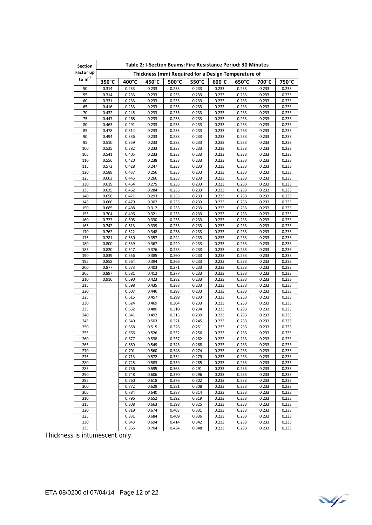| <b>Section</b>              |                |                | Table 2: I-Section Beams: Fire Resistance Period: 30 Minutes |                |                |                |                |                |                |
|-----------------------------|----------------|----------------|--------------------------------------------------------------|----------------|----------------|----------------|----------------|----------------|----------------|
| Factor up                   |                |                | Thickness (mm) Required for a Design Temperature of          |                |                |                |                |                |                |
| to $\mathsf{m}^{\text{-}1}$ | 350°C          | 400°C          | 450°C                                                        | 500°C          | 550°C          | 600°C          | 650°C          | 700°C          | 750°C          |
| 50                          | 0.314          | 0.233          | 0.233                                                        | 0.233          | 0.233          | 0.233          | 0.233          | 0.233          | 0.233          |
| 55                          | 0.314          | 0.233          | 0.233                                                        | 0.233          | 0.233          | 0.233          | 0.233          | 0.233          | 0.233          |
| 60                          | 0.331          | 0.233          | 0.233                                                        | 0.233          | 0.233          | 0.233          | 0.233          | 0.233          | 0.233          |
| 65                          | 0.416          | 0.233          | 0.233                                                        | 0.233          | 0.233          | 0.233          | 0.233          | 0.233          | 0.233          |
| 70                          | 0.432          | 0.245          | 0.233                                                        | 0.233          | 0.233          | 0.233          | 0.233          | 0.233          | 0.233          |
| 75                          | 0.447          | 0.268          | 0.233                                                        | 0.233          | 0.233          | 0.233          | 0.233          | 0.233          | 0.233          |
| 80                          | 0.463          | 0.291          | 0.233                                                        | 0.233          | 0.233          | 0.233          | 0.233          | 0.233          | 0.233          |
| 85                          | 0.478          | 0.314          | 0.233                                                        | 0.233          | 0.233          | 0.233          | 0.233          | 0.233          | 0.233          |
| 90                          | 0.494          | 0.336          | 0.233                                                        | 0.233          | 0.233          | 0.233          | 0.233          | 0.233          | 0.233          |
| 95                          | 0.510          | 0.359          | 0.233                                                        | 0.233          | 0.233          | 0.233          | 0.233          | 0.233          | 0.233          |
| 100<br>105                  | 0.525<br>0.541 | 0.382<br>0.405 | 0.233<br>0.233                                               | 0.233<br>0.233 | 0.233<br>0.233 | 0.233<br>0.233 | 0.233<br>0.233 | 0.233<br>0.233 | 0.233<br>0.233 |
| 110                         | 0.556          | 0.420          | 0.238                                                        | 0.233          | 0.233          | 0.233          | 0.233          | 0.233          | 0.233          |
| 115                         | 0.572          | 0.428          | 0.247                                                        | 0.233          | 0.233          | 0.233          | 0.233          | 0.233          | 0.233          |
| 120                         | 0.588          | 0.437          | 0.256                                                        | 0.233          | 0.233          | 0.233          | 0.233          | 0.233          | 0.233          |
| 125                         | 0.603          | 0.445          | 0.266                                                        | 0.233          | 0.233          | 0.233          | 0.233          | 0.233          | 0.233          |
| 130                         | 0.619          | 0.454          | 0.275                                                        | 0.233          | 0.233          | 0.233          | 0.233          | 0.233          | 0.233          |
| 135                         | 0.635          | 0.462          | 0.284                                                        | 0.233          | 0.233          | 0.233          | 0.233          | 0.233          | 0.233          |
| 140                         | 0.650          | 0.471          | 0.293                                                        | 0.233          | 0.233          | 0.233          | 0.233          | 0.233          | 0.233          |
| 145                         | 0.666          | 0.479          | 0.302                                                        | 0.233          | 0.233          | 0.233          | 0.233          | 0.233          | 0.233          |
| 150                         | 0.685          | 0.488          | 0.312                                                        | 0.233          | 0.233          | 0.233          | 0.233          | 0.233          | 0.233          |
| 155                         | 0.704          | 0.496          | 0.321                                                        | 0.233          | 0.233          | 0.233          | 0.233          | 0.233          | 0.233          |
| 160                         | 0.723          | 0.505          | 0.330                                                        | 0.233          | 0.233          | 0.233          | 0.233          | 0.233          | 0.233          |
| 165                         | 0.742          | 0.513          | 0.339                                                        | 0.233          | 0.233          | 0.233          | 0.233          | 0.233          | 0.233          |
| 170                         | 0.762          | 0.522          | 0.348                                                        | 0.238          | 0.233          | 0.233          | 0.233          | 0.233          | 0.233          |
| 175                         | 0.781          | 0.530          | 0.357                                                        | 0.244          | 0.233          | 0.233          | 0.233          | 0.233          | 0.233          |
| 180                         | 0.800          | 0.539          | 0.367                                                        | 0.249          | 0.233          | 0.233          | 0.233          | 0.233          | 0.233          |
| 185                         | 0.820          | 0.547          | 0.376                                                        | 0.255          | 0.233          | 0.233          | 0.233          | 0.233          | 0.233          |
| 190                         | 0.839          | 0.556          | 0.385                                                        | 0.260          | 0.233          | 0.233          | 0.233          | 0.233          | 0.233          |
| 195                         | 0.858          | 0.564          | 0.394                                                        | 0.266          | 0.233          | 0.233          | 0.233          | 0.233          | 0.233          |
| 200                         | 0.877          | 0.573          | 0.403                                                        | 0.271          | 0.233          | 0.233          | 0.233          | 0.233          | 0.233          |
| 205                         | 0.897          | 0.581          | 0.412                                                        | 0.277          | 0.233          | 0.233          | 0.233          | 0.233          | 0.233          |
| 210<br>215                  | 0.916          | 0.590<br>0.598 | 0.423<br>0.435                                               | 0.282<br>0.288 | 0.233<br>0.233 | 0.233<br>0.233 | 0.233<br>0.233 | 0.233<br>0.233 | 0.233<br>0.233 |
| 220                         |                | 0.607          | 0.446                                                        | 0.293          | 0.233          | 0.233          | 0.233          | 0.233          | 0.233          |
| 225                         |                | 0.615          | 0.457                                                        | 0.299          | 0.233          | 0.233          | 0.233          | 0.233          | 0.233          |
| 230                         |                | 0.624          | 0.469                                                        | 0.304          | 0.233          | 0.233          | 0.233          | 0.233          | 0.233          |
| 235                         |                | 0.632          | 0.480                                                        | 0.310          | 0.234          | 0.233          | 0.233          | 0.233          | 0.233          |
| 240                         |                | 0.641          | 0.492                                                        | 0.315          | 0.239          | 0.233          | 0.233          | 0.233          | 0.233          |
| 245                         |                | 0.649          | 0.503                                                        | 0.321          | 0.245          | 0.233          | 0.233          | 0.233          | 0.233          |
| 250                         |                | 0.658          | 0.515                                                        | 0.326          | 0.251          | 0.233          | 0.233          | 0.233          | 0.233          |
| 255                         |                | 0.666          | 0.526                                                        | 0.332          | 0.256          | 0.233          | 0.233          | 0.233          | 0.233          |
| 260                         |                | 0.677          | 0.538                                                        | 0.337          | 0.262          | 0.233          | 0.233          | 0.233          | 0.233          |
| 265                         |                | 0.689          | 0.549                                                        | 0.343          | 0.268          | 0.233          | 0.233          | 0.233          | 0.233          |
| 270                         |                | 0.701          | 0.560                                                        | 0.348          | 0.274          | 0.233          | 0.233          | 0.233          | 0.233          |
| 275                         |                | 0.713          | 0.572                                                        | 0.354          | 0.279          | 0.233          | 0.233          | 0.233          | 0.233          |
| 280                         |                | 0.725          | 0.583                                                        | 0.359          | 0.285          | 0.233          | 0.233          | 0.233          | 0.233          |
| 285                         |                | 0.736          | 0.595                                                        | 0.365          | 0.291          | 0.233          | 0.233          | 0.233          | 0.233          |
| 290                         |                | 0.748          | 0.606                                                        | 0.370          | 0.296          | 0.233          | 0.233          | 0.233          | 0.233          |
| 295                         |                | 0.760          | 0.618                                                        | 0.376          | 0.302          | 0.233          | 0.233          | 0.233          | 0.233          |
| 300                         |                | 0.772          | 0.629                                                        | 0.381          | 0.308          | 0.233          | 0.233          | 0.233          | 0.233          |
| 305                         |                | 0.784          | 0.640                                                        | 0.387          | 0.314          | 0.233          | 0.233          | 0.233          | 0.233          |
| 310                         |                | 0.796          | 0.652                                                        | 0.392          | 0.319          | 0.233          | 0.233          | 0.233          | 0.233          |
| 315                         |                | 0.808          | 0.663                                                        | 0.398          | 0.325          | 0.233          | 0.233          | 0.233          | 0.233          |
| 320                         |                | 0.819          | 0.674                                                        | 0.403          | 0.331          | 0.233          | 0.233          | 0.233          | 0.233          |
| 325                         |                | 0.831          | 0.684                                                        | 0.409          | 0.336          | 0.233          | 0.233          | 0.233          | 0.233          |
| 330<br>335                  |                | 0.843          | 0.694                                                        | 0.414          | 0.342          | 0.233          | 0.233          | 0.233          | 0.233          |
|                             |                | 0.855          | 0.704                                                        | 0.434          | 0.348          | 0.233          | 0.233          | 0.233          | 0.233          |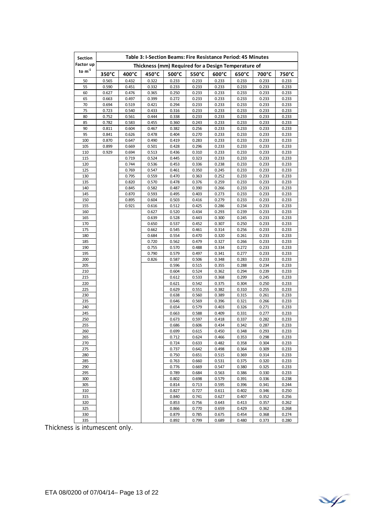| Section                     |                 |                |                |                | Table 3: I-Section Beams: Fire Resistance Period: 45 Minutes |                 |                 |                |                |
|-----------------------------|-----------------|----------------|----------------|----------------|--------------------------------------------------------------|-----------------|-----------------|----------------|----------------|
| Factor up                   |                 |                |                |                | Thickness (mm) Required for a Design Temperature of          |                 |                 |                |                |
| to $\mathsf{m}^{\text{-}1}$ | $350^{\circ}$ C | 400°C          | 450°C          | 500°C          | 550°C                                                        | $600^{\circ}$ C | $650^{\circ}$ C | 700°C          | 750°C          |
| 50                          | 0.565           | 0.432          | 0.322          | 0.233          | 0.233                                                        | 0.233           | 0.233           | 0.233          | 0.233          |
| 55                          | 0.590           | 0.451          | 0.332          | 0.233          | 0.233                                                        | 0.233           | 0.233           | 0.233          | 0.233          |
| 60                          | 0.627           | 0.476          | 0.365          | 0.250          | 0.233                                                        | 0.233           | 0.233           | 0.233          | 0.233          |
| 65                          | 0.663           | 0.497          | 0.399          | 0.272          | 0.233                                                        | 0.233           | 0.233           | 0.233          | 0.233          |
| 70                          | 0.694           | 0.519          | 0.421          | 0.294          | 0.233                                                        | 0.233           | 0.233           | 0.233          | 0.233          |
| 75                          | 0.723           | 0.540          | 0.433          | 0.316          | 0.233                                                        | 0.233           | 0.233           | 0.233          | 0.233          |
| 80                          | 0.752           | 0.561          | 0.444          | 0.338          | 0.233                                                        | 0.233           | 0.233           | 0.233          | 0.233          |
| 85                          | 0.782           | 0.583          | 0.455          | 0.360          | 0.243                                                        | 0.233           | 0.233           | 0.233          | 0.233          |
| 90                          | 0.811           | 0.604          | 0.467          | 0.382          | 0.256                                                        | 0.233           | 0.233           | 0.233          | 0.233          |
| 95                          | 0.841           | 0.626          | 0.478          | 0.404          | 0.270                                                        | 0.233           | 0.233           | 0.233          | 0.233          |
| 100                         | 0.870           | 0.647          | 0.490          | 0.419          | 0.283                                                        | 0.233           | 0.233           | 0.233          | 0.233          |
| 105                         | 0.899<br>0.929  | 0.669<br>0.694 | 0.501          | 0.428          | 0.296                                                        | 0.233           | 0.233           | 0.233<br>0.233 | 0.233<br>0.233 |
| 110<br>115                  |                 | 0.719          | 0.513<br>0.524 | 0.436<br>0.445 | 0.310<br>0.323                                               | 0.233<br>0.233  | 0.233<br>0.233  | 0.233          | 0.233          |
| 120                         |                 | 0.744          | 0.536          | 0.453          | 0.336                                                        | 0.238           | 0.233           | 0.233          | 0.233          |
| 125                         |                 | 0.769          | 0.547          | 0.461          | 0.350                                                        | 0.245           | 0.233           | 0.233          | 0.233          |
| 130                         |                 | 0.795          | 0.559          | 0.470          | 0.363                                                        | 0.252           | 0.233           | 0.233          | 0.233          |
| 135                         |                 | 0.820          | 0.570          | 0.478          | 0.376                                                        | 0.259           | 0.233           | 0.233          | 0.233          |
| 140                         |                 | 0.845          | 0.582          | 0.487          | 0.390                                                        | 0.266           | 0.233           | 0.233          | 0.233          |
| 145                         |                 | 0.870          | 0.593          | 0.495          | 0.403                                                        | 0.273           | 0.233           | 0.233          | 0.233          |
| 150                         |                 | 0.895          | 0.604          | 0.503          | 0.416                                                        | 0.279           | 0.233           | 0.233          | 0.233          |
| 155                         |                 | 0.921          | 0.616          | 0.512          | 0.425                                                        | 0.286           | 0.234           | 0.233          | 0.233          |
| 160                         |                 |                | 0.627          | 0.520          | 0.434                                                        | 0.293           | 0.239           | 0.233          | 0.233          |
| 165                         |                 |                | 0.639          | 0.528          | 0.443                                                        | 0.300           | 0.245           | 0.233          | 0.233          |
| 170                         |                 |                | 0.650          | 0.537          | 0.452                                                        | 0.307           | 0.250           | 0.233          | 0.233          |
| 175                         |                 |                | 0.662          | 0.545          | 0.461                                                        | 0.314           | 0.256           | 0.233          | 0.233          |
| 180                         |                 |                | 0.684          | 0.554          | 0.470                                                        | 0.320           | 0.261           | 0.233          | 0.233          |
| 185                         |                 |                | 0.720          | 0.562          | 0.479                                                        | 0.327           | 0.266           | 0.233          | 0.233          |
| 190                         |                 |                | 0.755          | 0.570          | 0.488                                                        | 0.334           | 0.272           | 0.233          | 0.233          |
| 195                         |                 |                | 0.790          | 0.579          | 0.497                                                        | 0.341           | 0.277           | 0.233          | 0.233          |
| 200                         |                 |                | 0.826          | 0.587          | 0.506                                                        | 0.348           | 0.283           | 0.233          | 0.233          |
| 205                         |                 |                |                | 0.596          | 0.515                                                        | 0.355           | 0.288           | 0.234          | 0.233          |
| 210                         |                 |                |                | 0.604          | 0.524                                                        | 0.362           | 0.294           | 0.239          | 0.233          |
| 215                         |                 |                |                | 0.612          | 0.533                                                        | 0.368           | 0.299           | 0.245          | 0.233          |
| 220                         |                 |                |                | 0.621          | 0.542                                                        | 0.375           | 0.304           | 0.250          | 0.233          |
| 225                         |                 |                |                | 0.629          | 0.551<br>0.560                                               | 0.382           | 0.310           | 0.255          | 0.233          |
| 230<br>235                  |                 |                |                | 0.638<br>0.646 | 0.569                                                        | 0.389<br>0.396  | 0.315<br>0.321  | 0.261<br>0.266 | 0.233<br>0.233 |
| 240                         |                 |                |                | 0.654          | 0.579                                                        | 0.403           | 0.326           | 0.271          | 0.233          |
| 245                         |                 |                |                | 0.663          | 0.588                                                        | 0.409           | 0.331           | 0.277          | 0.233          |
| 250                         |                 |                |                | 0.673          | 0.597                                                        | 0.418           | 0.337           | 0.282          | 0.233          |
| 255                         |                 |                |                | 0.686          | 0.606                                                        | 0.434           | 0.342           | 0.287          | 0.233          |
| 260                         |                 |                |                | 0.699          | 0.615                                                        | 0.450           | 0.348           | 0.293          | 0.233          |
| 265                         |                 |                |                | 0.712          | 0.624                                                        | 0.466           | 0.353           | 0.298          | 0.233          |
| 270                         |                 |                |                | 0.724          | 0.633                                                        | 0.482           | 0.358           | 0.304          | 0.233          |
| 275                         |                 |                |                | 0.737          | 0.642                                                        | 0.498           | 0.364           | 0.309          | 0.233          |
| 280                         |                 |                |                | 0.750          | 0.651                                                        | 0.515           | 0.369           | 0.314          | 0.233          |
| 285                         |                 |                |                | 0.763          | 0.660                                                        | 0.531           | 0.375           | 0.320          | 0.233          |
| 290                         |                 |                |                | 0.776          | 0.669                                                        | 0.547           | 0.380           | 0.325          | 0.233          |
| 295                         |                 |                |                | 0.789          | 0.684                                                        | 0.563           | 0.386           | 0.330          | 0.233          |
| 300                         |                 |                |                | 0.802          | 0.698                                                        | 0.579           | 0.391           | 0.336          | 0.238          |
| 305                         |                 |                |                | 0.814          | 0.713                                                        | 0.595           | 0.396           | 0.341          | 0.244          |
| 310                         |                 |                |                | 0.827          | 0.727                                                        | 0.611           | 0.402           | 0.346          | 0.250          |
| 315                         |                 |                |                | 0.840          | 0.741                                                        | 0.627           | 0.407           | 0.352          | 0.256          |
| 320                         |                 |                |                | 0.853          | 0.756                                                        | 0.643           | 0.413           | 0.357          | 0.262          |
| 325                         |                 |                |                | 0.866          | 0.770                                                        | 0.659           | 0.429           | 0.362          | 0.268          |
| 330                         |                 |                |                | 0.879          | 0.785                                                        | 0.675           | 0.454           | 0.368          | 0.274          |
| 335                         |                 |                |                | 0.892          | 0.799                                                        | 0.689           | 0.480           | 0.373          | 0.280          |

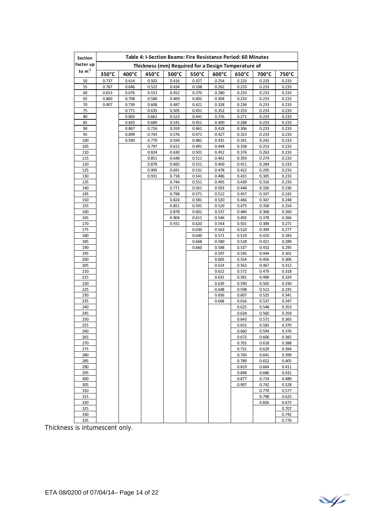| <b>Section</b>            |       |       |       |                | Table 4: I-Section Beams: Fire Resistance Period: 60 Minutes |                |                 |                |                |
|---------------------------|-------|-------|-------|----------------|--------------------------------------------------------------|----------------|-----------------|----------------|----------------|
| Factor up                 |       |       |       |                | Thickness (mm) Required for a Design Temperature of          |                |                 |                |                |
| to $\mathsf{m}^\text{-1}$ | 350°C | 400°C | 450°C | 500°C          | 550°C                                                        | 600°C          | $650^{\circ}$ C | 700°C          | 750°C          |
| 50                        | 0.737 | 0.614 | 0.502 | 0.416          | 0.327                                                        | 0.254          | 0.233           | 0.233          | 0.233          |
| 55                        | 0.767 | 0.646 | 0.522 | 0.434          | 0.338                                                        | 0.262          | 0.233           | 0.233          | 0.233          |
| 60                        | 0.813 | 0.676 | 0.553 | 0.452          | 0.370                                                        | 0.280          | 0.233           | 0.233          | 0.233          |
| 65                        | 0.860 | 0.708 | 0.580 | 0.469          | 0.402                                                        | 0.304          | 0.233           | 0.233          | 0.233          |
| 70                        | 0.907 | 0.739 | 0.608 | 0.487          | 0.421                                                        | 0.328          | 0.236           | 0.233          | 0.233          |
| 75                        |       | 0.771 | 0.635 | 0.505          | 0.431                                                        | 0.352          | 0.253           | 0.233          | 0.233          |
| 80                        |       | 0.803 | 0.662 | 0.523          | 0.441                                                        | 0.376          | 0.271           | 0.233          | 0.233          |
| 85                        |       | 0.835 | 0.689 | 0.541          | 0.451                                                        | 0.400          | 0.288           | 0.233          | 0.233          |
| 90                        |       | 0.867 | 0.716 | 0.559          | 0.461                                                        | 0.418          | 0.306           | 0.233          | 0.233          |
| 95                        |       | 0.899 | 0.743 | 0.576          | 0.471                                                        | 0.427          | 0.323           | 0.233          | 0.233          |
| 100                       |       | 0.930 | 0.770 | 0.594          | 0.481                                                        | 0.435          | 0.341           | 0.242          | 0.233          |
| 105                       |       |       | 0.797 | 0.612          | 0.491                                                        | 0.444          | 0.358           | 0.253          | 0.233          |
| 110                       |       |       | 0.824 | 0.630          | 0.501                                                        | 0.452          | 0.376           | 0.263          | 0.233          |
| 115                       |       |       | 0.851 | 0.648          | 0.511                                                        | 0.461          | 0.393           | 0.274          | 0.233          |
| 120                       |       |       | 0.878 | 0.665          | 0.521                                                        | 0.469          | 0.411           | 0.284          | 0.233          |
| 125                       |       |       | 0.905 | 0.691          | 0.531                                                        | 0.478          | 0.422           | 0.295          | 0.233          |
| 130                       |       |       | 0.931 | 0.718          | 0.541                                                        | 0.486          | 0.431           | 0.305          | 0.233          |
| 135                       |       |       |       | 0.744          | 0.551                                                        | 0.495          | 0.439           | 0.316          | 0.233          |
| 140                       |       |       |       | 0.771          | 0.561                                                        | 0.503          | 0.448           | 0.326          | 0.236          |
| 145                       |       |       |       | 0.798          | 0.571                                                        | 0.512          | 0.457           | 0.337          | 0.242          |
| 150                       |       |       |       | 0.824          | 0.581                                                        | 0.520          | 0.466           | 0.347          | 0.248          |
| 155                       |       |       |       | 0.851          | 0.591                                                        | 0.529          | 0.475           | 0.358          | 0.254          |
| 160                       |       |       |       | 0.878          | 0.601                                                        | 0.537          | 0.484           | 0.368          | 0.260          |
| 165<br>170                |       |       |       | 0.904<br>0.931 | 0.611<br>0.620                                               | 0.546<br>0.554 | 0.492<br>0.501  | 0.378<br>0.389 | 0.266<br>0.271 |
| 175                       |       |       |       |                | 0.630                                                        | 0.563          | 0.510           | 0.399          | 0.277          |
| 180                       |       |       |       |                | 0.640                                                        | 0.571          | 0.519           | 0.410          | 0.283          |
| 185                       |       |       |       |                | 0.668                                                        | 0.580          | 0.528           | 0.421          | 0.289          |
| 190                       |       |       |       |                | 0.660                                                        | 0.588          | 0.537           | 0.432          | 0.295          |
| 195                       |       |       |       |                |                                                              | 0.597          | 0.545           | 0.444          | 0.301          |
| 200                       |       |       |       |                |                                                              | 0.605          | 0.554           | 0.456          | 0.306          |
| 205                       |       |       |       |                |                                                              | 0.614          | 0.563           | 0.467          | 0.312          |
| 210                       |       |       |       |                |                                                              | 0.622          | 0.572           | 0.479          | 0.318          |
| 215                       |       |       |       |                |                                                              | 0.631          | 0.581           | 0.490          | 0.324          |
| 220                       |       |       |       |                |                                                              | 0.639          | 0.590           | 0.502          | 0.330          |
| 225                       |       |       |       |                |                                                              | 0.648          | 0.598           | 0.513          | 0.335          |
| 230                       |       |       |       |                |                                                              | 0.656          | 0.607           | 0.525          | 0.341          |
| 235                       |       |       |       |                |                                                              | 0.668          | 0.616           | 0.537          | 0.347          |
| 240                       |       |       |       |                |                                                              |                | 0.625           | 0.548          | 0.353          |
| 245                       |       |       |       |                |                                                              |                | 0.634           | 0.560          | 0.359          |
| 250                       |       |       |       |                |                                                              |                | 0.643           | 0.571          | 0.365          |
| 255                       |       |       |       |                |                                                              |                | 0.652           | 0.583          | 0.370          |
| 260                       |       |       |       |                |                                                              |                | 0.660           | 0.594          | 0.376          |
| 265                       |       |       |       |                |                                                              |                | 0.672           | 0.606          | 0.382          |
| 270                       |       |       |       |                |                                                              |                | 0.701           | 0.618          | 0.388          |
| 275                       |       |       |       |                |                                                              |                | 0.731           | 0.629          | 0.394          |
| 280                       |       |       |       |                |                                                              |                | 0.760           | 0.641          | 0.399          |
| 285                       |       |       |       |                |                                                              |                | 0.789           | 0.652          | 0.405          |
| 290                       |       |       |       |                |                                                              |                | 0.819           | 0.664          | 0.411          |
| 295                       |       |       |       |                |                                                              |                | 0.848           | 0.686          | 0.431          |
| 300                       |       |       |       |                |                                                              |                | 0.877           | 0.714          | 0.480          |
| 305                       |       |       |       |                |                                                              |                | 0.907           | 0.742          | 0.528          |
| 310                       |       |       |       |                |                                                              |                |                 | 0.770          | 0.577          |
| 315                       |       |       |       |                |                                                              |                |                 | 0.798          | 0.625          |
| 320                       |       |       |       |                |                                                              |                |                 | 0.826          | 0.672          |
| 325                       |       |       |       |                |                                                              |                |                 |                | 0.707          |
| 330                       |       |       |       |                |                                                              |                |                 |                | 0.742          |
| 335                       |       |       |       |                |                                                              |                |                 |                | 0.776          |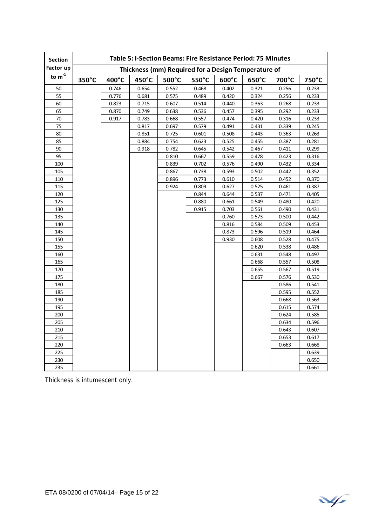| <b>Section</b> |       |       |       | Table 5: I-Section Beams: Fire Resistance Period: 75 Minutes |       |       |       |       |       |
|----------------|-------|-------|-------|--------------------------------------------------------------|-------|-------|-------|-------|-------|
| Factor up      |       |       |       | Thickness (mm) Required for a Design Temperature of          |       |       |       |       |       |
| to $m-1$       | 350°C | 400°C | 450°C | 500°C                                                        | 550°C | 600°C | 650°C | 700°C | 750°C |
| 50             |       | 0.746 | 0.654 | 0.552                                                        | 0.468 | 0.402 | 0.321 | 0.256 | 0.233 |
| 55             |       | 0.776 | 0.681 | 0.575                                                        | 0.489 | 0.420 | 0.324 | 0.256 | 0.233 |
| 60             |       | 0.823 | 0.715 | 0.607                                                        | 0.514 | 0.440 | 0.363 | 0.268 | 0.233 |
| 65             |       | 0.870 | 0.749 | 0.638                                                        | 0.536 | 0.457 | 0.395 | 0.292 | 0.233 |
| 70             |       | 0.917 | 0.783 | 0.668                                                        | 0.557 | 0.474 | 0.420 | 0.316 | 0.233 |
| 75             |       |       | 0.817 | 0.697                                                        | 0.579 | 0.491 | 0.431 | 0.339 | 0.245 |
| 80             |       |       | 0.851 | 0.725                                                        | 0.601 | 0.508 | 0.443 | 0.363 | 0.263 |
| 85             |       |       | 0.884 | 0.754                                                        | 0.623 | 0.525 | 0.455 | 0.387 | 0.281 |
| 90             |       |       | 0.918 | 0.782                                                        | 0.645 | 0.542 | 0.467 | 0.411 | 0.299 |
| 95             |       |       |       | 0.810                                                        | 0.667 | 0.559 | 0.478 | 0.423 | 0.316 |
| 100            |       |       |       | 0.839                                                        | 0.702 | 0.576 | 0.490 | 0.432 | 0.334 |
| 105            |       |       |       | 0.867                                                        | 0.738 | 0.593 | 0.502 | 0.442 | 0.352 |
| 110            |       |       |       | 0.896                                                        | 0.773 | 0.610 | 0.514 | 0.452 | 0.370 |
| 115            |       |       |       | 0.924                                                        | 0.809 | 0.627 | 0.525 | 0.461 | 0.387 |
| 120            |       |       |       |                                                              | 0.844 | 0.644 | 0.537 | 0.471 | 0.405 |
| 125            |       |       |       |                                                              | 0.880 | 0.661 | 0.549 | 0.480 | 0.420 |
| 130            |       |       |       |                                                              | 0.915 | 0.703 | 0.561 | 0.490 | 0.431 |
| 135            |       |       |       |                                                              |       | 0.760 | 0.573 | 0.500 | 0.442 |
| 140            |       |       |       |                                                              |       | 0.816 | 0.584 | 0.509 | 0.453 |
| 145            |       |       |       |                                                              |       | 0.873 | 0.596 | 0.519 | 0.464 |
| 150            |       |       |       |                                                              |       | 0.930 | 0.608 | 0.528 | 0.475 |
| 155            |       |       |       |                                                              |       |       | 0.620 | 0.538 | 0.486 |
| 160            |       |       |       |                                                              |       |       | 0.631 | 0.548 | 0.497 |
| 165            |       |       |       |                                                              |       |       | 0.668 | 0.557 | 0.508 |
| 170            |       |       |       |                                                              |       |       | 0.655 | 0.567 | 0.519 |
| 175            |       |       |       |                                                              |       |       | 0.667 | 0.576 | 0.530 |
| 180            |       |       |       |                                                              |       |       |       | 0.586 | 0.541 |
| 185            |       |       |       |                                                              |       |       |       | 0.595 | 0.552 |
| 190            |       |       |       |                                                              |       |       |       | 0.668 | 0.563 |
| 195            |       |       |       |                                                              |       |       |       | 0.615 | 0.574 |
| 200            |       |       |       |                                                              |       |       |       | 0.624 | 0.585 |
| 205            |       |       |       |                                                              |       |       |       | 0.634 | 0.596 |
| 210            |       |       |       |                                                              |       |       |       | 0.643 | 0.607 |
| 215            |       |       |       |                                                              |       |       |       | 0.653 | 0.617 |
| 220            |       |       |       |                                                              |       |       |       | 0.663 | 0.668 |
| 225            |       |       |       |                                                              |       |       |       |       | 0.639 |
| 230            |       |       |       |                                                              |       |       |       |       | 0.650 |
| 235            |       |       |       |                                                              |       |       |       |       | 0.661 |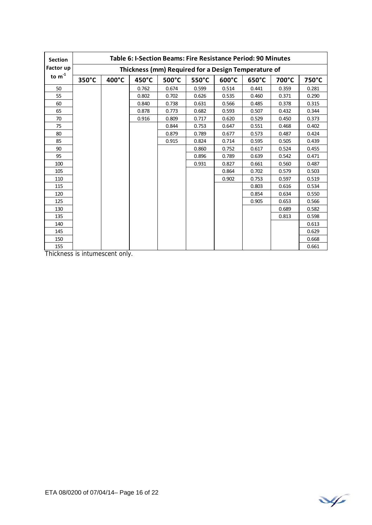| <b>Section</b> | Table 6: I-Section Beams: Fire Resistance Period: 90 Minutes |                                                     |       |       |       |                 |       |       |       |
|----------------|--------------------------------------------------------------|-----------------------------------------------------|-------|-------|-------|-----------------|-------|-------|-------|
| Factor up      |                                                              | Thickness (mm) Required for a Design Temperature of |       |       |       |                 |       |       |       |
| to $m-1$       | 350°C                                                        | 400°C                                               | 450°C | 500°C | 550°C | $600^{\circ}$ C | 650°C | 700°C | 750°C |
| 50             |                                                              |                                                     | 0.762 | 0.674 | 0.599 | 0.514           | 0.441 | 0.359 | 0.281 |
| 55             |                                                              |                                                     | 0.802 | 0.702 | 0.626 | 0.535           | 0.460 | 0.371 | 0.290 |
| 60             |                                                              |                                                     | 0.840 | 0.738 | 0.631 | 0.566           | 0.485 | 0.378 | 0.315 |
| 65             |                                                              |                                                     | 0.878 | 0.773 | 0.682 | 0.593           | 0.507 | 0.432 | 0.344 |
| 70             |                                                              |                                                     | 0.916 | 0.809 | 0.717 | 0.620           | 0.529 | 0.450 | 0.373 |
| 75             |                                                              |                                                     |       | 0.844 | 0.753 | 0.647           | 0.551 | 0.468 | 0.402 |
| 80             |                                                              |                                                     |       | 0.879 | 0.789 | 0.677           | 0.573 | 0.487 | 0.424 |
| 85             |                                                              |                                                     |       | 0.915 | 0.824 | 0.714           | 0.595 | 0.505 | 0.439 |
| 90             |                                                              |                                                     |       |       | 0.860 | 0.752           | 0.617 | 0.524 | 0.455 |
| 95             |                                                              |                                                     |       |       | 0.896 | 0.789           | 0.639 | 0.542 | 0.471 |
| 100            |                                                              |                                                     |       |       | 0.931 | 0.827           | 0.661 | 0.560 | 0.487 |
| 105            |                                                              |                                                     |       |       |       | 0.864           | 0.702 | 0.579 | 0.503 |
| 110            |                                                              |                                                     |       |       |       | 0.902           | 0.753 | 0.597 | 0.519 |
| 115            |                                                              |                                                     |       |       |       |                 | 0.803 | 0.616 | 0.534 |
| 120            |                                                              |                                                     |       |       |       |                 | 0.854 | 0.634 | 0.550 |
| 125            |                                                              |                                                     |       |       |       |                 | 0.905 | 0.653 | 0.566 |
| 130            |                                                              |                                                     |       |       |       |                 |       | 0.689 | 0.582 |
| 135            |                                                              |                                                     |       |       |       |                 |       | 0.813 | 0.598 |
| 140            |                                                              |                                                     |       |       |       |                 |       |       | 0.613 |
| 145            |                                                              |                                                     |       |       |       |                 |       |       | 0.629 |
| 150            |                                                              |                                                     |       |       |       |                 |       |       | 0.668 |
| 155            |                                                              |                                                     |       |       |       |                 |       |       | 0.661 |

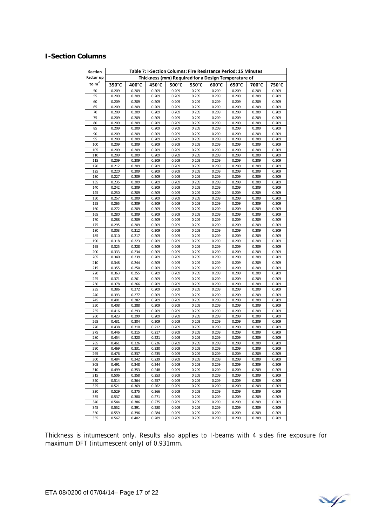#### **I-Section Columns**

| Section    | Table 7: I-Section Columns: Fire Resistance Period: 15 Minutes<br>Thickness (mm) Required for a Design Temperature of |                |                |                |                |                 |                |                |                |  |
|------------|-----------------------------------------------------------------------------------------------------------------------|----------------|----------------|----------------|----------------|-----------------|----------------|----------------|----------------|--|
| Factor up  |                                                                                                                       |                |                |                |                |                 |                |                |                |  |
| to $m-1$   | 350°C                                                                                                                 | 400°C          | 450°C          | 500°C          | 550°C          | $600^{\circ}$ C | 650°C          | 700°C          | 750°C          |  |
| 50         | 0.209                                                                                                                 | 0.209          | 0.209          | 0.209          | 0.209          | 0.209           | 0.209          | 0.209          | 0.209          |  |
| 55         | 0.209                                                                                                                 | 0.209          | 0.209          | 0.209          | 0.209          | 0.209           | 0.209          | 0.209          | 0.209          |  |
| 60<br>65   | 0.209<br>0.209                                                                                                        | 0.209<br>0.209 | 0.209<br>0.209 | 0.209<br>0.209 | 0.209<br>0.209 | 0.209<br>0.209  | 0.209<br>0.209 | 0.209<br>0.209 | 0.209<br>0.209 |  |
| 70         | 0.209                                                                                                                 | 0.209          | 0.209          | 0.209          | 0.209          | 0.209           | 0.209          | 0.209          | 0.209          |  |
| 75         | 0.209                                                                                                                 | 0.209          | 0.209          | 0.209          | 0.209          | 0.209           | 0.209          | 0.209          | 0.209          |  |
| 80         | 0.209                                                                                                                 | 0.209          | 0.209          | 0.209          | 0.209          | 0.209           | 0.209          | 0.209          | 0.209          |  |
| 85         | 0.209                                                                                                                 | 0.209          | 0.209          | 0.209          | 0.209          | 0.209           | 0.209          | 0.209          | 0.209          |  |
| 90         | 0.209                                                                                                                 | 0.209          | 0.209          | 0.209          | 0.209          | 0.209           | 0.209          | 0.209          | 0.209          |  |
| 95         | 0.209                                                                                                                 | 0.209          | 0.209          | 0.209          | 0.209          | 0.209           | 0.209          | 0.209          | 0.209          |  |
| 100        | 0.209                                                                                                                 | 0.209          | 0.209          | 0.209          | 0.209          | 0.209           | 0.209          | 0.209          | 0.209          |  |
| 105        | 0.209                                                                                                                 | 0.209          | 0.209          | 0.209          | 0.209          | 0.209           | 0.209          | 0.209          | 0.209          |  |
| 110        | 0.209                                                                                                                 | 0.209          | 0.209          | 0.209          | 0.209          | 0.209           | 0.209          | 0.209          | 0.209          |  |
| 115<br>120 | 0.209<br>0.212                                                                                                        | 0.209<br>0.209 | 0.209<br>0.209 | 0.209<br>0.209 | 0.209<br>0.209 | 0.209<br>0.209  | 0.209<br>0.209 | 0.209<br>0.209 | 0.209<br>0.209 |  |
| 125        | 0.220                                                                                                                 | 0.209          | 0.209          | 0.209          | 0.209          | 0.209           | 0.209          | 0.209          | 0.209          |  |
| 130        | 0.227                                                                                                                 | 0.209          | 0.209          | 0.209          | 0.209          | 0.209           | 0.209          | 0.209          | 0.209          |  |
| 135        | 0.235                                                                                                                 | 0.209          | 0.209          | 0.209          | 0.209          | 0.209           | 0.209          | 0.209          | 0.209          |  |
| 140        | 0.242                                                                                                                 | 0.209          | 0.209          | 0.209          | 0.209          | 0.209           | 0.209          | 0.209          | 0.209          |  |
| 145        | 0.250                                                                                                                 | 0.209          | 0.209          | 0.209          | 0.209          | 0.209           | 0.209          | 0.209          | 0.209          |  |
| 150        | 0.257                                                                                                                 | 0.209          | 0.209          | 0.209          | 0.209          | 0.209           | 0.209          | 0.209          | 0.209          |  |
| 155        | 0.265                                                                                                                 | 0.209          | 0.209          | 0.209          | 0.209          | 0.209           | 0.209          | 0.209          | 0.209          |  |
| 160        | 0.272                                                                                                                 | 0.209          | 0.209          | 0.209          | 0.209          | 0.209           | 0.209          | 0.209          | 0.209          |  |
| 165        | 0.280                                                                                                                 | 0.209          | 0.209          | 0.209          | 0.209          | 0.209           | 0.209          | 0.209          | 0.209          |  |
| 170<br>175 | 0.288<br>0.295                                                                                                        | 0.209<br>0.209 | 0.209          | 0.209<br>0.209 | 0.209<br>0.209 | 0.209           | 0.209<br>0.209 | 0.209<br>0.209 | 0.209          |  |
| 180        | 0.303                                                                                                                 | 0.212          | 0.209<br>0.209 | 0.209          | 0.209          | 0.209<br>0.209  | 0.209          | 0.209          | 0.209<br>0.209 |  |
| 185        | 0.310                                                                                                                 | 0.217          | 0.209          | 0.209          | 0.209          | 0.209           | 0.209          | 0.209          | 0.209          |  |
| 190        | 0.318                                                                                                                 | 0.223          | 0.209          | 0.209          | 0.209          | 0.209           | 0.209          | 0.209          | 0.209          |  |
| 195        | 0.325                                                                                                                 | 0.228          | 0.209          | 0.209          | 0.209          | 0.209           | 0.209          | 0.209          | 0.209          |  |
| 200        | 0.333                                                                                                                 | 0.234          | 0.209          | 0.209          | 0.209          | 0.209           | 0.209          | 0.209          | 0.209          |  |
| 205        | 0.340                                                                                                                 | 0.239          | 0.209          | 0.209          | 0.209          | 0.209           | 0.209          | 0.209          | 0.209          |  |
| 210        | 0.348                                                                                                                 | 0.244          | 0.209          | 0.209          | 0.209          | 0.209           | 0.209          | 0.209          | 0.209          |  |
| 215        | 0.355                                                                                                                 | 0.250          | 0.209          | 0.209          | 0.209          | 0.209           | 0.209          | 0.209          | 0.209          |  |
| 220        | 0.363<br>0.371                                                                                                        | 0.255          | 0.209<br>0.209 | 0.209          | 0.209<br>0.209 | 0.209           | 0.209          | 0.209<br>0.209 | 0.209          |  |
| 225<br>230 | 0.378                                                                                                                 | 0.261<br>0.266 | 0.209          | 0.209<br>0.209 | 0.209          | 0.209<br>0.209  | 0.209<br>0.209 | 0.209          | 0.209<br>0.209 |  |
| 235        | 0.386                                                                                                                 | 0.272          | 0.209          | 0.209          | 0.209          | 0.209           | 0.209          | 0.209          | 0.209          |  |
| 240        | 0.393                                                                                                                 | 0.277          | 0.209          | 0.209          | 0.209          | 0.209           | 0.209          | 0.209          | 0.209          |  |
| 245        | 0.401                                                                                                                 | 0.282          | 0.209          | 0.209          | 0.209          | 0.209           | 0.209          | 0.209          | 0.209          |  |
| 250        | 0.408                                                                                                                 | 0.288          | 0.209          | 0.209          | 0.209          | 0.209           | 0.209          | 0.209          | 0.209          |  |
| 255        | 0.416                                                                                                                 | 0.293          | 0.209          | 0.209          | 0.209          | 0.209           | 0.209          | 0.209          | 0.209          |  |
| 260        | 0.423                                                                                                                 | 0.299          | 0.209          | 0.209          | 0.209          | 0.209           | 0.209          | 0.209          | 0.209          |  |
| 265        | 0.431                                                                                                                 | 0.304          | 0.209          | 0.209          | 0.209          | 0.209           | 0.209          | 0.209          | 0.209          |  |
| 270        | 0.438<br>0.446                                                                                                        | 0.310<br>0.315 | 0.212<br>0.217 | 0.209          | 0.209<br>0.209 | 0.209           | 0.209          | 0.209          | 0.209          |  |
| 275<br>280 | 0.454                                                                                                                 | 0.320          | 0.221          | 0.209<br>0.209 | 0.209          | 0.209<br>0.209  | 0.209<br>0.209 | 0.209<br>0.209 | 0.209<br>0.209 |  |
| 285        | 0.461                                                                                                                 | 0.326          | 0.226          | 0.209          | 0.209          | 0.209           | 0.209          | 0.209          | 0.209          |  |
| 290        | 0.469                                                                                                                 | 0.331          | 0.230          | 0.209          | 0.209          | 0.209           | 0.209          | 0.209          | 0.209          |  |
| 295        | 0.476                                                                                                                 | 0.337          | 0.235          | 0.209          | 0.209          | 0.209           | 0.209          | 0.209          | 0.209          |  |
| 300        | 0.484                                                                                                                 | 0.342          | 0.239          | 0.209          | 0.209          | 0.209           | 0.209          | 0.209          | 0.209          |  |
| 305        | 0.491                                                                                                                 | 0.348          | 0.244          | 0.209          | 0.209          | 0.209           | 0.209          | 0.209          | 0.209          |  |
| 310        | 0.499                                                                                                                 | 0.353          | 0.248          | 0.209          | 0.209          | 0.209           | 0.209          | 0.209          | 0.209          |  |
| 315        | 0.506                                                                                                                 | 0.358          | 0.253          | 0.209          | 0.209          | 0.209           | 0.209          | 0.209          | 0.209          |  |
| 320        | 0.514                                                                                                                 | 0.364          | 0.257          | 0.209          | 0.209          | 0.209           | 0.209          | 0.209          | 0.209          |  |
| 325        | 0.521                                                                                                                 | 0.369<br>0.375 | 0.262          | 0.209          | 0.209          | 0.209<br>0.209  | 0.209          | 0.209          | 0.209          |  |
| 330<br>335 | 0.529<br>0.537                                                                                                        | 0.380          | 0.266<br>0.271 | 0.209<br>0.209 | 0.209<br>0.209 | 0.209           | 0.209<br>0.209 | 0.209<br>0.209 | 0.209<br>0.209 |  |
| 340        | 0.544                                                                                                                 | 0.386          | 0.275          | 0.209          | 0.209          | 0.209           | 0.209          | 0.209          | 0.209          |  |
| 345        | 0.552                                                                                                                 | 0.391          | 0.280          | 0.209          | 0.209          | 0.209           | 0.209          | 0.209          | 0.209          |  |
| 350        | 0.559                                                                                                                 | 0.396          | 0.284          | 0.209          | 0.209          | 0.209           | 0.209          | 0.209          | 0.209          |  |
| 355        | 0.567                                                                                                                 | 0.402          | 0.289          | 0.209          | 0.209          | 0.209           | 0.209          | 0.209          | 0.209          |  |

¥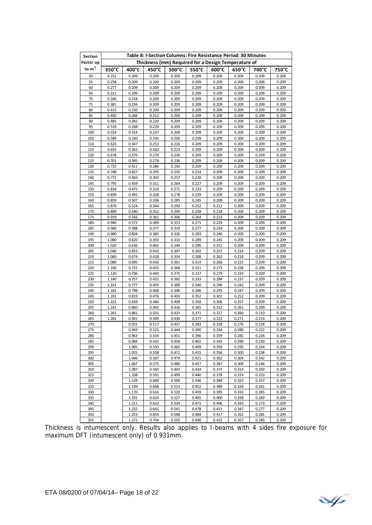| Section     | Table 8: I-Section Columns: Fire Resistance Period: 30 Minutes |                |                |                |                                                     |                 |                |                |                |  |
|-------------|----------------------------------------------------------------|----------------|----------------|----------------|-----------------------------------------------------|-----------------|----------------|----------------|----------------|--|
| Factor up   |                                                                |                |                |                | Thickness (mm) Required for a Design Temperature of |                 |                |                |                |  |
| to $m^{-1}$ | 350°C                                                          | 400°C          | 450°C          | 500°C          | 550°C                                               | $600^{\circ}$ C | 650°C          | 700°C          | 750°C          |  |
| 50          | 0.252                                                          | 0.209          | 0.209          | 0.209          | 0.209                                               | 0.209           | 0.209          | 0.209          | 0.209          |  |
| 55          | 0.258                                                          | 0.209          | 0.209          | 0.209          | 0.209                                               | 0.209           | 0.209          | 0.209          | 0.209          |  |
| 60<br>65    | 0.277<br>0.311                                                 | 0.209<br>0.209 | 0.209<br>0.209 | 0.209<br>0.209 | 0.209<br>0.209                                      | 0.209<br>0.209  | 0.209<br>0.209 | 0.209<br>0.209 | 0.209<br>0.209 |  |
| 70          | 0.346                                                          | 0.218          | 0.209          | 0.209          | 0.209                                               | 0.209           | 0.209          | 0.209          | 0.209          |  |
| 75          | 0.381                                                          | 0.234          | 0.209          | 0.209          | 0.209                                               | 0.209           | 0.209          | 0.209          | 0.209          |  |
| 80          | 0.415                                                          | 0.250          | 0.209          | 0.209          | 0.209                                               | 0.209           | 0.209          | 0.209          | 0.209          |  |
| 85          | 0.450                                                          | 0.266          | 0.212          | 0.209          | 0.209                                               | 0.209           | 0.209          | 0.209          | 0.209          |  |
| 90          | 0.485                                                          | 0.282          | 0.220          | 0.209          | 0.209                                               | 0.209           | 0.209          | 0.209          | 0.209          |  |
| 95          | 0.519                                                          | 0.298          | 0.229          | 0.209          | 0.209                                               | 0.209           | 0.209          | 0.209          | 0.209          |  |
| 100<br>105  | 0.554<br>0.589                                                 | 0.314<br>0.330 | 0.237<br>0.245 | 0.209<br>0.209 | 0.209<br>0.209                                      | 0.209<br>0.209  | 0.209<br>0.209 | 0.209<br>0.209 | 0.209<br>0.209 |  |
| 110         | 0.623                                                          | 0.347          | 0.253          | 0.216          | 0.209                                               | 0.209           | 0.209          | 0.209          | 0.209          |  |
| 115         | 0.655                                                          | 0.363          | 0.262          | 0.223          | 0.209                                               | 0.209           | 0.209          | 0.209          | 0.209          |  |
| 120         | 0.678                                                          | 0.379          | 0.270          | 0.230          | 0.209                                               | 0.209           | 0.209          | 0.209          | 0.209          |  |
| 125         | 0.701                                                          | 0.395          | 0.278          | 0.236          | 0.209                                               | 0.209           | 0.209          | 0.209          | 0.209          |  |
| 130         | 0.725                                                          | 0.411          | 0.286          | 0.243          | 0.209                                               | 0.209           | 0.209          | 0.209          | 0.209          |  |
| 135         | 0.748                                                          | 0.427          | 0.295          | 0.250          | 0.214                                               | 0.209           | 0.209          | 0.209          | 0.209          |  |
| 140         | 0.772                                                          | 0.443          | 0.303          | 0.257          | 0.220                                               | 0.209           | 0.209          | 0.209          | 0.209          |  |
| 145<br>150  | 0.795<br>0.818                                                 | 0.459<br>0.475 | 0.311<br>0.319 | 0.264<br>0.271 | 0.227<br>0.233                                      | 0.209<br>0.209  | 0.209<br>0.209 | 0.209<br>0.209 | 0.209<br>0.209 |  |
| 155         | 0.839                                                          | 0.491          | 0.328          | 0.278          | 0.239                                               | 0.209           | 0.209          | 0.209          | 0.209          |  |
| 160         | 0.859                                                          | 0.507          | 0.336          | 0.285          | 0.245                                               | 0.209           | 0.209          | 0.209          | 0.209          |  |
| 165         | 0.879                                                          | 0.524          | 0.344          | 0.292          | 0.252                                               | 0.212           | 0.209          | 0.209          | 0.209          |  |
| 170         | 0.899                                                          | 0.540          | 0.352          | 0.299          | 0.258                                               | 0.218           | 0.209          | 0.209          | 0.209          |  |
| 175         | 0.919                                                          | 0.556          | 0.361          | 0.306          | 0.264                                               | 0.223           | 0.209          | 0.209          | 0.209          |  |
| 180         | 0.940                                                          | 0.572          | 0.369          | 0.313          | 0.271                                               | 0.229           | 0.209          | 0.209          | 0.209          |  |
| 185<br>190  | 0.960<br>0.980                                                 | 0.588<br>0.604 | 0.377<br>0.385 | 0.319<br>0.326 | 0.277<br>0.283                                      | 0.234<br>0.240  | 0.209<br>0.209 | 0.209<br>0.209 | 0.209<br>0.209 |  |
| 195         | 1.000                                                          | 0.620          | 0.393          | 0.333          | 0.289                                               | 0.245           | 0.209          | 0.209          | 0.209          |  |
| 200         | 1.020                                                          | 0.636          | 0.402          | 0.340          | 0.296                                               | 0.251           | 0.209          | 0.209          | 0.209          |  |
| 205         | 1.040                                                          | 0.653          | 0.410          | 0.347          | 0.302                                               | 0.257           | 0.214          | 0.209          | 0.209          |  |
| 210         | 1.060                                                          | 0.674          | 0.418          | 0.354          | 0.308                                               | 0.262           | 0.218          | 0.209          | 0.209          |  |
| 215         | 1.080                                                          | 0.695          | 0.426          | 0.361          | 0.314                                               | 0.268           | 0.223          | 0.209          | 0.209          |  |
| 220         | 1.100                                                          | 0.715          | 0.435          | 0.368          | 0.321                                               | 0.273           | 0.228          | 0.209          | 0.209          |  |
| 225<br>230  | 1.120<br>1.140                                                 | 0.736<br>0.757 | 0.443<br>0.451 | 0.375<br>0.382 | 0.327<br>0.333                                      | 0.279<br>0.284  | 0.233<br>0.237 | 0.209<br>0.209 | 0.209<br>0.209 |  |
| 235         | 1.161                                                          | 0.777          | 0.459          | 0.389          | 0.340                                               | 0.290           | 0.242          | 0.209          | 0.209          |  |
| 240         | 1.181                                                          | 0.798          | 0.468          | 0.396          | 0.346                                               | 0.295           | 0.247          | 0.209          | 0.209          |  |
| 245         | 1.201                                                          | 0.819          | 0.476          | 0.403          | 0.352                                               | 0.301           | 0.252          | 0.209          | 0.209          |  |
| 250         | 1.221                                                          | 0.839          | 0.484          | 0.409          | 0.358                                               | 0.306           | 0.257          | 0.209          | 0.209          |  |
| 255         | 1.241                                                          | 0.860          | 0.492          | 0.416          | 0.365                                               | 0.312           | 0.261          | 0.209          | 0.209          |  |
| 260         | 1.261                                                          | 0.881          | 0.501          | 0.423          | 0.371                                               | 0.317           | 0.266          | 0.210          | 0.209          |  |
| 265<br>270  | 1.281                                                          | 0.901<br>0.922 | 0.509<br>0.517 | 0.430<br>0.437 | 0.377<br>0.383                                      | 0.323<br>0.328  | 0.271<br>0.276 | 0.214<br>0.218 | 0.209<br>0.209 |  |
| 275         |                                                                | 0.943          | 0.525          | 0.444          | 0.390                                               | 0.334           | 0.280          | 0.222          | 0.209          |  |
| 280         |                                                                | 0.963          | 0.534          | 0.451          | 0.396                                               | 0.339           | 0.285          | 0.226          | 0.209          |  |
| 285         |                                                                | 0.984          | 0.542          | 0.458          | 0.402                                               | 0.345           | 0.290          | 0.230          | 0.209          |  |
| 290         |                                                                | 1.005          | 0.550          | 0.465          | 0.409                                               | 0.350           | 0.295          | 0.234          | 0.209          |  |
| 295         |                                                                | 1.025          | 0.558          | 0.472          | 0.415                                               | 0.356           | 0.300          | 0.238          | 0.209          |  |
| 300         |                                                                | 1.046          | 0.567          | 0.479          | 0.421                                               | 0.362           | 0.304          | 0.242          | 0.209          |  |
| 305<br>310  |                                                                | 1.067          | 0.575          | 0.486<br>0.493 | 0.427<br>0.434                                      | 0.367           | 0.309          | 0.246<br>0.250 | 0.209          |  |
| 315         |                                                                | 1.087<br>1.108 | 0.583<br>0.591 | 0.499          | 0.440                                               | 0.373<br>0.378  | 0.314<br>0.319 | 0.253          | 0.209<br>0.209 |  |
| 320         |                                                                | 1.129          | 0.600          | 0.506          | 0.446                                               | 0.384           | 0.323          | 0.257          | 0.209          |  |
| 325         |                                                                | 1.149          | 0.608          | 0.513          | 0.452                                               | 0.389           | 0.328          | 0.261          | 0.209          |  |
| 330         |                                                                | 1.170          | 0.616          | 0.520          | 0.459                                               | 0.395           | 0.333          | 0.265          | 0.209          |  |
| 335         |                                                                | 1.191          | 0.624          | 0.527          | 0.465                                               | 0.400           | 0.338          | 0.269          | 0.209          |  |
| 340         |                                                                | 1.211          | 0.632          | 0.534          | 0.471                                               | 0.406           | 0.343          | 0.273          | 0.209          |  |
| 345         |                                                                | 1.232          | 0.641          | 0.541          | 0.478                                               | 0.411           | 0.347          | 0.277          | 0.209          |  |
| 350<br>355  |                                                                | 1.253<br>1.273 | 0.654<br>0.704 | 0.548<br>0.555 | 0.484<br>0.490                                      | 0.417<br>0.422  | 0.352<br>0.357 | 0.281<br>0.285 | 0.209<br>0.209 |  |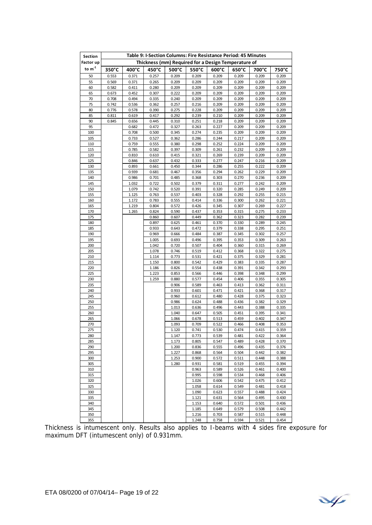| Section                  | Table 9: I-Section Columns: Fire Resistance Period: 45 Minutes<br>Thickness (mm) Required for a Design Temperature of |                 |                |                |                |                 |                 |                |                |  |
|--------------------------|-----------------------------------------------------------------------------------------------------------------------|-----------------|----------------|----------------|----------------|-----------------|-----------------|----------------|----------------|--|
| Factor up<br>to $m^{-1}$ |                                                                                                                       |                 |                |                |                |                 |                 |                |                |  |
|                          | $350^{\circ}$ C                                                                                                       | $400^{\circ}$ C | 450°C          | 500°C          | 550°C          | $600^{\circ}$ C | $650^{\circ}$ C | 700°C          | 750°C          |  |
| 50<br>55                 | 0.553<br>0.569                                                                                                        | 0.371           | 0.257          | 0.209<br>0.209 | 0.209          | 0.209<br>0.209  | 0.209           | 0.209          | 0.209<br>0.209 |  |
| 60                       | 0.582                                                                                                                 | 0.371<br>0.411  | 0.265<br>0.280 | 0.209          | 0.209<br>0.209 | 0.209           | 0.209<br>0.209  | 0.209<br>0.209 | 0.209          |  |
| 65                       | 0.673                                                                                                                 | 0.452           | 0.307          | 0.222          | 0.209          | 0.209           | 0.209           | 0.209          | 0.209          |  |
| 70                       | 0.708                                                                                                                 | 0.494           | 0.335          | 0.240          | 0.209          | 0.209           | 0.209           | 0.209          | 0.209          |  |
| 75                       | 0.742                                                                                                                 | 0.536           | 0.362          | 0.257          | 0.216          | 0.209           | 0.209           | 0.209          | 0.209          |  |
| 80                       | 0.776                                                                                                                 | 0.578           | 0.390          | 0.275          | 0.228          | 0.209           | 0.209           | 0.209          | 0.209          |  |
| 85                       | 0.811                                                                                                                 | 0.619           | 0.417          | 0.292          | 0.239          | 0.210           | 0.209           | 0.209          | 0.209          |  |
| 90                       | 0.845                                                                                                                 | 0.656           | 0.445          | 0.310          | 0.251          | 0.218           | 0.209           | 0.209          | 0.209          |  |
| 95                       |                                                                                                                       | 0.682           | 0.472          | 0.327          | 0.263          | 0.227           | 0.209           | 0.209          | 0.209          |  |
| 100<br>105               |                                                                                                                       | 0.708<br>0.733  | 0.500          | 0.345          | 0.274          | 0.235<br>0.244  | 0.209<br>0.217  | 0.209<br>0.209 | 0.209<br>0.209 |  |
| 110                      |                                                                                                                       | 0.759           | 0.527<br>0.555 | 0.362<br>0.380 | 0.286<br>0.298 | 0.252           | 0.224           | 0.209          | 0.209          |  |
| 115                      |                                                                                                                       | 0.785           | 0.582          | 0.397          | 0.309          | 0.261           | 0.232           | 0.209          | 0.209          |  |
| 120                      |                                                                                                                       | 0.810           | 0.610          | 0.415          | 0.321          | 0.269           | 0.239           | 0.209          | 0.209          |  |
| 125                      |                                                                                                                       | 0.846           | 0.637          | 0.432          | 0.333          | 0.277           | 0.247           | 0.216          | 0.209          |  |
| 130                      |                                                                                                                       | 0.893           | 0.661          | 0.450          | 0.344          | 0.286           | 0.255           | 0.222          | 0.209          |  |
| 135                      |                                                                                                                       | 0.939           | 0.681          | 0.467          | 0.356          | 0.294           | 0.262           | 0.229          | 0.209          |  |
| 140                      |                                                                                                                       | 0.986           | 0.701          | 0.485          | 0.368          | 0.303           | 0.270           | 0.236          | 0.209          |  |
| 145                      |                                                                                                                       | 1.032           | 0.722          | 0.502          | 0.379          | 0.311           | 0.277           | 0.242          | 0.209          |  |
| 150                      |                                                                                                                       | 1.079           | 0.742          | 0.520          | 0.391          | 0.320           | 0.285           | 0.249          | 0.209          |  |
| 155<br>160               |                                                                                                                       | 1.125<br>1.172  | 0.763<br>0.783 | 0.537<br>0.555 | 0.403<br>0.414 | 0.328<br>0.336  | 0.292<br>0.300  | 0.255<br>0.262 | 0.215<br>0.221 |  |
| 165                      |                                                                                                                       | 1.219           | 0.804          | 0.572          | 0.426          | 0.345           | 0.307           | 0.269          | 0.227          |  |
| 170                      |                                                                                                                       | 1.265           | 0.824          | 0.590          | 0.437          | 0.353           | 0.315           | 0.275          | 0.233          |  |
| 175                      |                                                                                                                       |                 | 0.860          | 0.607          | 0.449          | 0.362           | 0.323           | 0.282          | 0.239          |  |
| 180                      |                                                                                                                       |                 | 0.897          | 0.625          | 0.461          | 0.370           | 0.330           | 0.289          | 0.245          |  |
| 185                      |                                                                                                                       |                 | 0.933          | 0.643          | 0.472          | 0.379           | 0.338           | 0.295          | 0.251          |  |
| 190                      |                                                                                                                       |                 | 0.969          | 0.666          | 0.484          | 0.387           | 0.345           | 0.302          | 0.257          |  |
| 195                      |                                                                                                                       |                 | 1.005          | 0.693          | 0.496          | 0.395           | 0.353           | 0.309          | 0.263          |  |
| 200                      |                                                                                                                       |                 | 1.042          | 0.720          | 0.507          | 0.404           | 0.360           | 0.315          | 0.269          |  |
| 205<br>210               |                                                                                                                       |                 | 1.078<br>1.114 | 0.746<br>0.773 | 0.519<br>0.531 | 0.412<br>0.421  | 0.368<br>0.375  | 0.322<br>0.329 | 0.275<br>0.281 |  |
| 215                      |                                                                                                                       |                 | 1.150          | 0.800          | 0.542          | 0.429           | 0.383           | 0.335          | 0.287          |  |
| 220                      |                                                                                                                       |                 | 1.186          | 0.826          | 0.554          | 0.438           | 0.391           | 0.342          | 0.293          |  |
| 225                      |                                                                                                                       |                 | 1.223          | 0.853          | 0.566          | 0.446           | 0.398           | 0.348          | 0.299          |  |
| 230                      |                                                                                                                       |                 | 1.259          | 0.880          | 0.577          | 0.454           | 0.406           | 0.355          | 0.305          |  |
| 235                      |                                                                                                                       |                 |                | 0.906          | 0.589          | 0.463           | 0.413           | 0.362          | 0.311          |  |
| 240                      |                                                                                                                       |                 |                | 0.933          | 0.601          | 0.471           | 0.421           | 0.368          | 0.317          |  |
| 245                      |                                                                                                                       |                 |                | 0.960          | 0.612          | 0.480           | 0.428           | 0.375          | 0.323          |  |
| 250<br>255               |                                                                                                                       |                 |                | 0.986<br>1.013 | 0.624          | 0.488<br>0.496  | 0.436<br>0.443  | 0.382<br>0.388 | 0.329<br>0.335 |  |
| 260                      |                                                                                                                       |                 |                | 1.040          | 0.636<br>0.647 | 0.505           | 0.451           | 0.395          | 0.341          |  |
| 265                      |                                                                                                                       |                 |                | 1.066          | 0.678          | 0.513           | 0.459           | 0.402          | 0.347          |  |
| 270                      |                                                                                                                       |                 |                | 1.093          | 0.709          | 0.522           | 0.466           | 0.408          | 0.353          |  |
| 275                      |                                                                                                                       |                 |                | 1.120          | 0.741          | 0.530           | 0.474           | 0.415          | 0.359          |  |
| 280                      |                                                                                                                       |                 |                | 1.147          | 0.773          | 0.539           | 0.481           | 0.422          | 0.364          |  |
| 285                      |                                                                                                                       |                 |                | 1.173          | 0.805          | 0.547           | 0.489           | 0.428          | 0.370          |  |
| 290                      |                                                                                                                       |                 |                | 1.200          | 0.836          | 0.555           | 0.496           | 0.435          | 0.376          |  |
| 295                      |                                                                                                                       |                 |                | 1.227          | 0.868          | 0.564           | 0.504           | 0.442          | 0.382          |  |
| 300<br>305               |                                                                                                                       |                 |                | 1.253<br>1.280 | 0.900<br>0.931 | 0.572<br>0.581  | 0.511<br>0.519  | 0.448<br>0.455 | 0.388<br>0.394 |  |
| 310                      |                                                                                                                       |                 |                |                | 0.963          | 0.589           | 0.526           | 0.461          | 0.400          |  |
| 315                      |                                                                                                                       |                 |                |                | 0.995          | 0.598           | 0.534           | 0.468          | 0.406          |  |
| 320                      |                                                                                                                       |                 |                |                | 1.026          | 0.606           | 0.542           | 0.475          | 0.412          |  |
| 325                      |                                                                                                                       |                 |                |                | 1.058          | 0.614           | 0.549           | 0.481          | 0.418          |  |
| 330                      |                                                                                                                       |                 |                |                | 1.090          | 0.623           | 0.557           | 0.488          | 0.424          |  |
| 335                      |                                                                                                                       |                 |                |                | 1.121          | 0.631           | 0.564           | 0.495          | 0.430          |  |
| 340                      |                                                                                                                       |                 |                |                | 1.153          | 0.640           | 0.572           | 0.501          | 0.436          |  |
| 345                      |                                                                                                                       |                 |                |                | 1.185          | 0.649           | 0.579           | 0.508          | 0.442          |  |
| 350<br>355               |                                                                                                                       |                 |                |                | 1.216<br>1.248 | 0.703<br>0.758  | 0.587<br>0.594  | 0.515<br>0.521 | 0.448<br>0.454 |  |
|                          |                                                                                                                       |                 |                |                |                |                 |                 |                |                |  |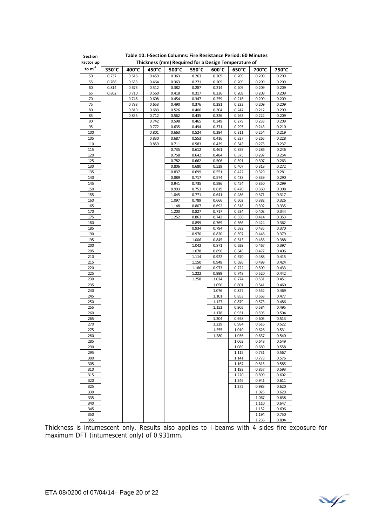| Section    | Table 10: I-Section Columns: Fire Resistance Period: 60 Minutes |                |                |                |                                                     |                 |                |                |                |  |
|------------|-----------------------------------------------------------------|----------------|----------------|----------------|-----------------------------------------------------|-----------------|----------------|----------------|----------------|--|
| Factor up  |                                                                 |                |                |                | Thickness (mm) Required for a Design Temperature of |                 |                |                |                |  |
| to $m-1$   | $350^{\circ}$ C                                                 | 400°C          | 450°C          | 500°C          | 550°C                                               | $600^{\circ}$ C | 650°C          | 700°C          | 750°C          |  |
| 50         | 0.737                                                           | 0.616          | 0.459          | 0.363          | 0.263                                               | 0.209           | 0.209          | 0.209          | 0.209          |  |
| 55         | 0.766                                                           | 0.633          | 0.464          | 0.363          | 0.271                                               | 0.209           | 0.209          | 0.209          | 0.209          |  |
| 60         | 0.814                                                           | 0.673          | 0.512          | 0.382          | 0.287                                               | 0.214           | 0.209          | 0.209          | 0.209          |  |
| 65         | 0.862                                                           | 0.710          | 0.560          | 0.418          | 0.317                                               | 0.236           | 0.209          | 0.209          | 0.209          |  |
| 70<br>75   |                                                                 | 0.746<br>0.783 | 0.608<br>0.653 | 0.454<br>0.490 | 0.347<br>0.376                                      | 0.259<br>0.281  | 0.216<br>0.232 | 0.209<br>0.209 | 0.209<br>0.209 |  |
| 80         |                                                                 | 0.819          | 0.683          | 0.526          | 0.406                                               | 0.304           | 0.247          | 0.212          | 0.209          |  |
| 85         |                                                                 | 0.855          | 0.712          | 0.562          | 0.435                                               | 0.326           | 0.263          | 0.222          | 0.209          |  |
| 90         |                                                                 |                | 0.742          | 0.598          | 0.465                                               | 0.349           | 0.279          | 0.233          | 0.209          |  |
| 95         |                                                                 |                | 0.772          | 0.635          | 0.494                                               | 0.371           | 0.295          | 0.243          | 0.210          |  |
| 100        |                                                                 |                | 0.801          | 0.663          | 0.524                                               | 0.394           | 0.311          | 0.254          | 0.219          |  |
| 105        |                                                                 |                | 0.830          | 0.687          | 0.553                                               | 0.416           | 0.327          | 0.265          | 0.228          |  |
| 110        |                                                                 |                | 0.859          | 0.711          | 0.583                                               | 0.439           | 0.343          | 0.275          | 0.237          |  |
| 115        |                                                                 |                |                | 0.735          | 0.612                                               | 0.461           | 0.359          | 0.286          | 0.246          |  |
| 120        |                                                                 |                |                | 0.758          | 0.642                                               | 0.484           | 0.375          | 0.297          | 0.254          |  |
| 125<br>130 |                                                                 |                |                | 0.782<br>0.806 | 0.662<br>0.680                                      | 0.506<br>0.529  | 0.391<br>0.407 | 0.307<br>0.318 | 0.263<br>0.272 |  |
| 135        |                                                                 |                |                | 0.837          | 0.699                                               | 0.551           | 0.422          | 0.329          | 0.281          |  |
| 140        |                                                                 |                |                | 0.889          | 0.717                                               | 0.574           | 0.438          | 0.339          | 0.290          |  |
| 145        |                                                                 |                |                | 0.941          | 0.735                                               | 0.596           | 0.454          | 0.350          | 0.299          |  |
| 150        |                                                                 |                |                | 0.993          | 0.753                                               | 0.619           | 0.470          | 0.360          | 0.308          |  |
| 155        |                                                                 |                |                | 1.045          | 0.771                                               | 0.641           | 0.486          | 0.371          | 0.317          |  |
| 160        |                                                                 |                |                | 1.097          | 0.789                                               | 0.666           | 0.502          | 0.382          | 0.326          |  |
| 165        |                                                                 |                |                | 1.148          | 0.807                                               | 0.692           | 0.518          | 0.392          | 0.335          |  |
| 170        |                                                                 |                |                | 1.200          | 0.827                                               | 0.717           | 0.534          | 0.403          | 0.344          |  |
| 175        |                                                                 |                |                | 1.252          | 0.863                                               | 0.743           | 0.550          | 0.414          | 0.353          |  |
| 180<br>185 |                                                                 |                |                |                | 0.899<br>0.934                                      | 0.769<br>0.794  | 0.566<br>0.582 | 0.424<br>0.435 | 0.362<br>0.370 |  |
| 190        |                                                                 |                |                |                | 0.970                                               | 0.820           | 0.597          | 0.446          | 0.379          |  |
| 195        |                                                                 |                |                |                | 1.006                                               | 0.845           | 0.613          | 0.456          | 0.388          |  |
| 200        |                                                                 |                |                |                | 1.042                                               | 0.871           | 0.629          | 0.467          | 0.397          |  |
| 205        |                                                                 |                |                |                | 1.078                                               | 0.896           | 0.645          | 0.477          | 0.406          |  |
| 210        |                                                                 |                |                |                | 1.114                                               | 0.922           | 0.670          | 0.488          | 0.415          |  |
| 215        |                                                                 |                |                |                | 1.150                                               | 0.948           | 0.696          | 0.499          | 0.424          |  |
| 220        |                                                                 |                |                |                | 1.186                                               | 0.973           | 0.722          | 0.509          | 0.433          |  |
| 225        |                                                                 |                |                |                | 1.222                                               | 0.999           | 0.748          | 0.520          | 0.442          |  |
| 230        |                                                                 |                |                |                | 1.258                                               | 1.024           | 0.774          | 0.531          | 0.451          |  |
| 235<br>240 |                                                                 |                |                |                |                                                     | 1.050<br>1.076  | 0.801<br>0.827 | 0.541<br>0.552 | 0.460<br>0.469 |  |
| 245        |                                                                 |                |                |                |                                                     | 1.101           | 0.853          | 0.563          | 0.477          |  |
| 250        |                                                                 |                |                |                |                                                     | 1.127           | 0.879          | 0.573          | 0.486          |  |
| 255        |                                                                 |                |                |                |                                                     | 1.152           | 0.905          | 0.584          | 0.495          |  |
| 260        |                                                                 |                |                |                |                                                     | 1.178           | 0.931          | 0.595          | 0.504          |  |
| 265        |                                                                 |                |                |                |                                                     | 1.204           | 0.958          | 0.605          | 0.513          |  |
| 270        |                                                                 |                |                |                |                                                     | 1.229           | 0.984          | 0.616          | 0.522          |  |
| 275        |                                                                 |                |                |                |                                                     | 1.255           | 1.010          | 0.626          | 0.531          |  |
| 280        |                                                                 |                |                |                |                                                     | 1.280           | 1.036          | 0.637          | 0.540          |  |
| 285        |                                                                 |                |                |                |                                                     |                 | 1.062          | 0.648          | 0.549          |  |
| 290<br>295 |                                                                 |                |                |                |                                                     |                 | 1.089          | 0.689          | 0.558          |  |
| 300        |                                                                 |                |                |                |                                                     |                 | 1.115<br>1.141 | 0.731<br>0.773 | 0.567<br>0.576 |  |
| 305        |                                                                 |                |                |                |                                                     |                 | 1.167          | 0.815          | 0.585          |  |
| 310        |                                                                 |                |                |                |                                                     |                 | 1.193          | 0.857          | 0.593          |  |
| 315        |                                                                 |                |                |                |                                                     |                 | 1.220          | 0.899          | 0.602          |  |
| 320        |                                                                 |                |                |                |                                                     |                 | 1.246          | 0.941          | 0.611          |  |
| 325        |                                                                 |                |                |                |                                                     |                 | 1.272          | 0.983          | 0.620          |  |
| 330        |                                                                 |                |                |                |                                                     |                 |                | 1.025          | 0.629          |  |
| 335        |                                                                 |                |                |                |                                                     |                 |                | 1.067          | 0.638          |  |
| 340        |                                                                 |                |                |                |                                                     |                 |                | 1.110          | 0.647          |  |
| 345        |                                                                 |                |                |                |                                                     |                 |                | 1.152          | 0.696          |  |
| 350<br>355 |                                                                 |                |                |                |                                                     |                 |                | 1.194<br>1.236 | 0.750<br>0.804 |  |
|            |                                                                 |                |                |                |                                                     |                 |                |                |                |  |

¥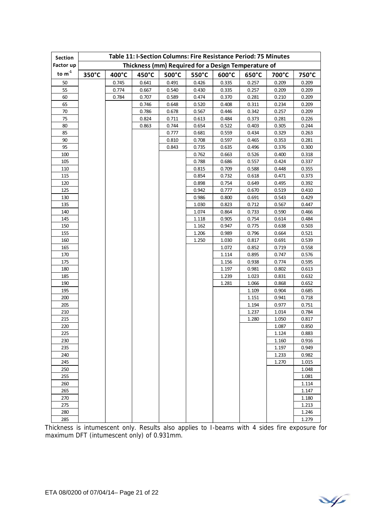| Section    | Table 11: I-Section Columns: Fire Resistance Period: 75 Minutes |       |       |       |                                                     |                 |       |       |                |  |
|------------|-----------------------------------------------------------------|-------|-------|-------|-----------------------------------------------------|-----------------|-------|-------|----------------|--|
| Factor up  |                                                                 |       |       |       | Thickness (mm) Required for a Design Temperature of |                 |       |       |                |  |
| to $m-1$   | 350°C                                                           | 400°C | 450°C | 500°C | 550°C                                               | $600^{\circ}$ C | 650°C | 700°C | 750°C          |  |
| 50         |                                                                 | 0.745 | 0.641 | 0.491 | 0.426                                               | 0.335           | 0.257 | 0.209 | 0.209          |  |
| 55         |                                                                 | 0.774 | 0.667 | 0.540 | 0.430                                               | 0.335           | 0.257 | 0.209 | 0.209          |  |
| 60         |                                                                 | 0.784 | 0.707 | 0.589 | 0.474                                               | 0.370           | 0.281 | 0.210 | 0.209          |  |
| 65         |                                                                 |       | 0.746 | 0.648 | 0.520                                               | 0.408           | 0.311 | 0.234 | 0.209          |  |
| 70         |                                                                 |       | 0.786 | 0.678 | 0.567                                               | 0.446           | 0.342 | 0.257 | 0.209          |  |
| 75         |                                                                 |       | 0.824 | 0.711 | 0.613                                               | 0.484           | 0.373 | 0.281 | 0.226          |  |
| 80         |                                                                 |       | 0.863 | 0.744 | 0.654                                               | 0.522           | 0.403 | 0.305 | 0.244          |  |
| 85         |                                                                 |       |       | 0.777 | 0.681                                               | 0.559           | 0.434 | 0.329 | 0.263          |  |
| 90         |                                                                 |       |       | 0.810 | 0.708                                               | 0.597           | 0.465 | 0.353 | 0.281          |  |
| 95         |                                                                 |       |       | 0.843 | 0.735                                               | 0.635           | 0.496 | 0.376 | 0.300          |  |
| 100        |                                                                 |       |       |       | 0.762                                               | 0.663           | 0.526 | 0.400 | 0.318          |  |
| 105        |                                                                 |       |       |       | 0.788                                               | 0.686           | 0.557 | 0.424 | 0.337          |  |
| 110        |                                                                 |       |       |       | 0.815                                               | 0.709           | 0.588 | 0.448 | 0.355          |  |
| 115        |                                                                 |       |       |       | 0.854                                               | 0.732           | 0.618 | 0.471 | 0.373          |  |
| 120        |                                                                 |       |       |       | 0.898                                               | 0.754           | 0.649 | 0.495 | 0.392          |  |
| 125        |                                                                 |       |       |       | 0.942                                               | 0.777           | 0.670 | 0.519 | 0.410          |  |
| 130        |                                                                 |       |       |       | 0.986                                               | 0.800           | 0.691 | 0.543 | 0.429          |  |
| 135        |                                                                 |       |       |       | 1.030                                               | 0.823           | 0.712 | 0.567 | 0.447          |  |
| 140        |                                                                 |       |       |       | 1.074                                               | 0.864           | 0.733 | 0.590 | 0.466          |  |
| 145        |                                                                 |       |       |       | 1.118                                               | 0.905           | 0.754 | 0.614 | 0.484          |  |
| 150        |                                                                 |       |       |       | 1.162                                               | 0.947           | 0.775 | 0.638 | 0.503          |  |
| 155        |                                                                 |       |       |       | 1.206                                               | 0.989           | 0.796 | 0.664 | 0.521          |  |
| 160        |                                                                 |       |       |       | 1.250                                               | 1.030           | 0.817 | 0.691 | 0.539          |  |
| 165        |                                                                 |       |       |       |                                                     | 1.072           | 0.852 | 0.719 | 0.558          |  |
| 170        |                                                                 |       |       |       |                                                     | 1.114           | 0.895 | 0.747 | 0.576          |  |
| 175        |                                                                 |       |       |       |                                                     | 1.156           | 0.938 | 0.774 | 0.595          |  |
| 180        |                                                                 |       |       |       |                                                     | 1.197           | 0.981 | 0.802 | 0.613          |  |
| 185        |                                                                 |       |       |       |                                                     | 1.239           | 1.023 | 0.831 | 0.632          |  |
| 190        |                                                                 |       |       |       |                                                     | 1.281           | 1.066 | 0.868 | 0.652          |  |
| 195        |                                                                 |       |       |       |                                                     |                 | 1.109 | 0.904 | 0.685          |  |
| 200        |                                                                 |       |       |       |                                                     |                 | 1.151 | 0.941 | 0.718          |  |
| 205        |                                                                 |       |       |       |                                                     |                 | 1.194 | 0.977 | 0.751          |  |
| 210        |                                                                 |       |       |       |                                                     |                 | 1.237 | 1.014 | 0.784          |  |
| 215        |                                                                 |       |       |       |                                                     |                 | 1.280 | 1.050 | 0.817          |  |
| 220        |                                                                 |       |       |       |                                                     |                 |       | 1.087 | 0.850          |  |
| 225        |                                                                 |       |       |       |                                                     |                 |       | 1.124 | 0.883          |  |
| 230        |                                                                 |       |       |       |                                                     |                 |       | 1.160 | 0.916          |  |
| 235        |                                                                 |       |       |       |                                                     |                 |       | 1.197 | 0.949          |  |
| 240        |                                                                 |       |       |       |                                                     |                 |       | 1.233 | 0.982          |  |
| 245<br>250 |                                                                 |       |       |       |                                                     |                 |       | 1.270 | 1.015<br>1.048 |  |
| 255        |                                                                 |       |       |       |                                                     |                 |       |       |                |  |
| 260        |                                                                 |       |       |       |                                                     |                 |       |       | 1.081          |  |
| 265        |                                                                 |       |       |       |                                                     |                 |       |       | 1.114<br>1.147 |  |
| 270        |                                                                 |       |       |       |                                                     |                 |       |       | 1.180          |  |
| 275        |                                                                 |       |       |       |                                                     |                 |       |       | 1.213          |  |
| 280        |                                                                 |       |       |       |                                                     |                 |       |       | 1.246          |  |
| 285        |                                                                 |       |       |       |                                                     |                 |       |       | 1.279          |  |

¥